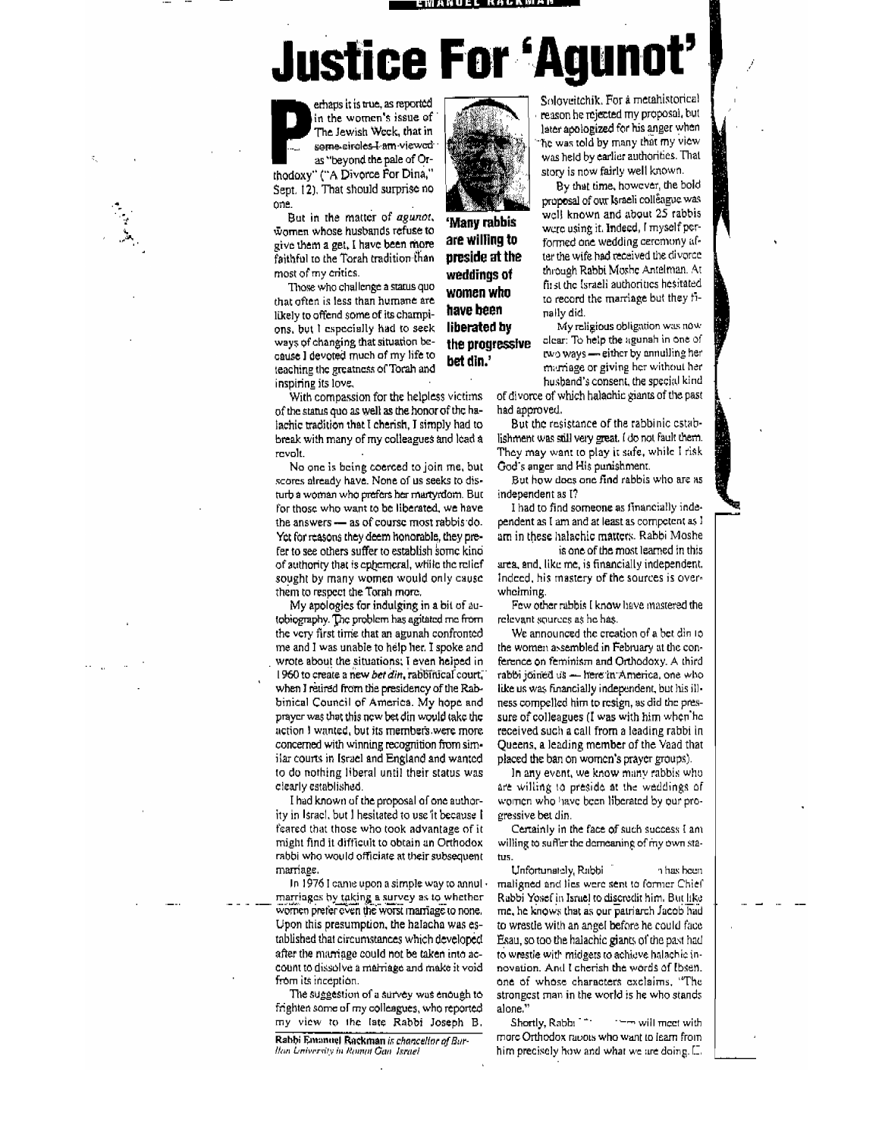<u>: Manuel Rackman</u>

#### **Justice For 'Agunot**

**'Manvmbbis are willing to preside at the weddings 01**  women who **have been** 

**liberated by the progressive bet din.'** 

emaps it is true, as reported<br>in the women's issue of<br>The Jewish Week, that in<br>as "beyond the pale of Or-<br>thodoxy" ("A Divorce For Dina," in the women's issue of The. Jewish Week, that in seme-circles-l am-viewcd as "beyond the pale of Or-Sept. 12). That should surprise no

one.<br>But in the matter of *agunot*, women whose husbands refuse to give them a get. I have been more faithful to the Torah tradition than most of my critics.

Those who challenge a status quo that often is less than humane are likely to offend some of its Champions, but I especially had to seek ways of changing that situation because I devoted much of my life to teaching the greatness of Torah and inspiring its love.

With compassion for the helpless victims of the status quo as well as the honor of the halachic tradition that 1 cherish, J simply had to break with many of my colleagues and lead a revolt.

No one is being coerced to join me, but scores already have. None of us seeks to disturb a woman who prefers her martyrdom. But for those who want to be liberated, we have the answers - as of course most rabbis do. Yet for reasons they deem honorable, they prefer to see others suffer to establish some kino of authority that is ephemeral, while the relief sought by many women would only cause them to respect the Torah more,

My apologies for indulging in a bit of autobiography. The problem has agitated me from the very flrst'time that an agunah confronted me and I was unable to help her. I spoke and wrote about the situations; I even helped in 1960 to create a new *bet din*, rabbinical court, when I relired from the presidency of the Rabbinical Council of America. My hope and prayer was that this new bet din would take the action 1 wanted, but its members were more concerned with winning recognition from similar courts in Israel and England and wanted. <sup>10</sup>do nothing liberal until their status was clearly established.

I had known of the proposal of one authority in Israel. but I hesitated to use 'it because I feared that those who took advantage of it migllt fmd it diftlcult to obtain an Orthodox rabbi who would officiate at their subsequent marriage,

In 1976 I came upon a simple way to annul  $\cdot$ marriages by taking a survey as to whether wornen preter even the worst marriage to none. Upon this presumption, the halacha was established that circumstances which developed. after the marriage could not be taken into account to dissolve a marriage and make it void from its inception.

The suggestion of a survey was enough to frighten SOme of my colleagues, who reported my view to the late Rabbi Joseph B.

Rabbi Emanuel Rackman is chancellor of Bar-Ilan Liniversity in Romal Gan Jsrael

Soloyeitchik. For a metahistorical reason he rejected my proposal, but later apologized for his anger when he was told by many that my view was held by earlier authorities. That story is now fairly well known.

By that time, however, the bold proposal of our Israeli colleague was well known and about  $25$  rabbis were using it. Indeed, I myself performed one wedding cercmony arter the wife had received the divorce through Rabbi Moshe Antelman. At fit st the Israeli authorities hesitated to record the marriage but they finally did.

My religious obligation was now. clear: To help the agunah in one of two ways - either by annuiling her m, mage or giving her without her husband's consent, the special kind

of divorce of which halachic giants of the past had approved.

But the resistance of the rabbinic cstablishment was still very great. I do not fault them. They may want to play it safe, while I risk God's anger and His punishment.

But how does one find rabbis who are as independent as [7

I had to find someone as financially independent as  $I$  am and at least as competent as  $I$ am in these halachic matters. Rabbi Moshe

is one of the most learned in this area, and, like me, is financially independent. Indeed, his mastery of the sources is overwhelming.

Few other rabbis I know have mastered the relevant sources as he has.

We announced the creation of a bet din 10 the women assembled in February at the conference on feminism and Orthodoxy. A third rabbi joined us - here in America, one who like us was financially independent, but his illness compelled him to resign, as did the pressure of colleagues (I was with him when he received such a call from a leading rabbi in Queens, a leading member of the Yaad that placed the ban On women's prayer groups).

In any event, we know many rabbis who are willing to preside at the weddings of women who have been liberated by our progressive bet din.

Certainly in the face of such success I am willing to suffer the demeaning of my own status.

Unfortunately, Rabbi '1 has been maligned and lies were sent to former Chief Rabbi Yosef in Israel to discredit him. But like me, he knows that as our patriarch Jacob had to wrestle with an angel before he could face Esau, so too the halachic giants of the past had to wrestle with midgets to achieve halachie innovation. And I cherish the words of Ibsen. one of whose characters exclaims, "The strongest man in the world is he who stands

alone."<br>Shortly, Rabbi  $\rightarrow$   $\rightarrow$  will meet with more Orthodox racots who want to learn from him precisely how and what we are doing. [J]

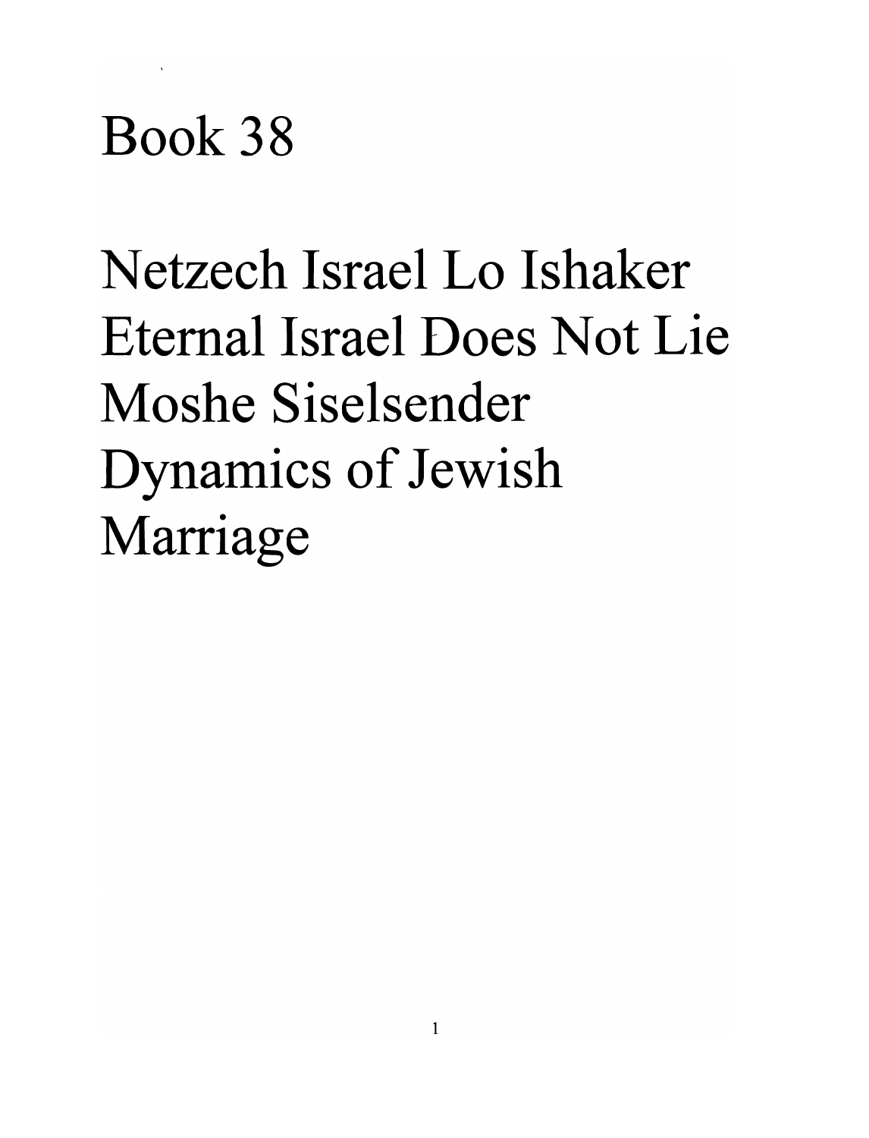# **Book 38**

**N etzech Israel Lo Ishaker Eternal Israel Does Not Lie Moshe Siselsender**  Dynamics of Jewish Marriage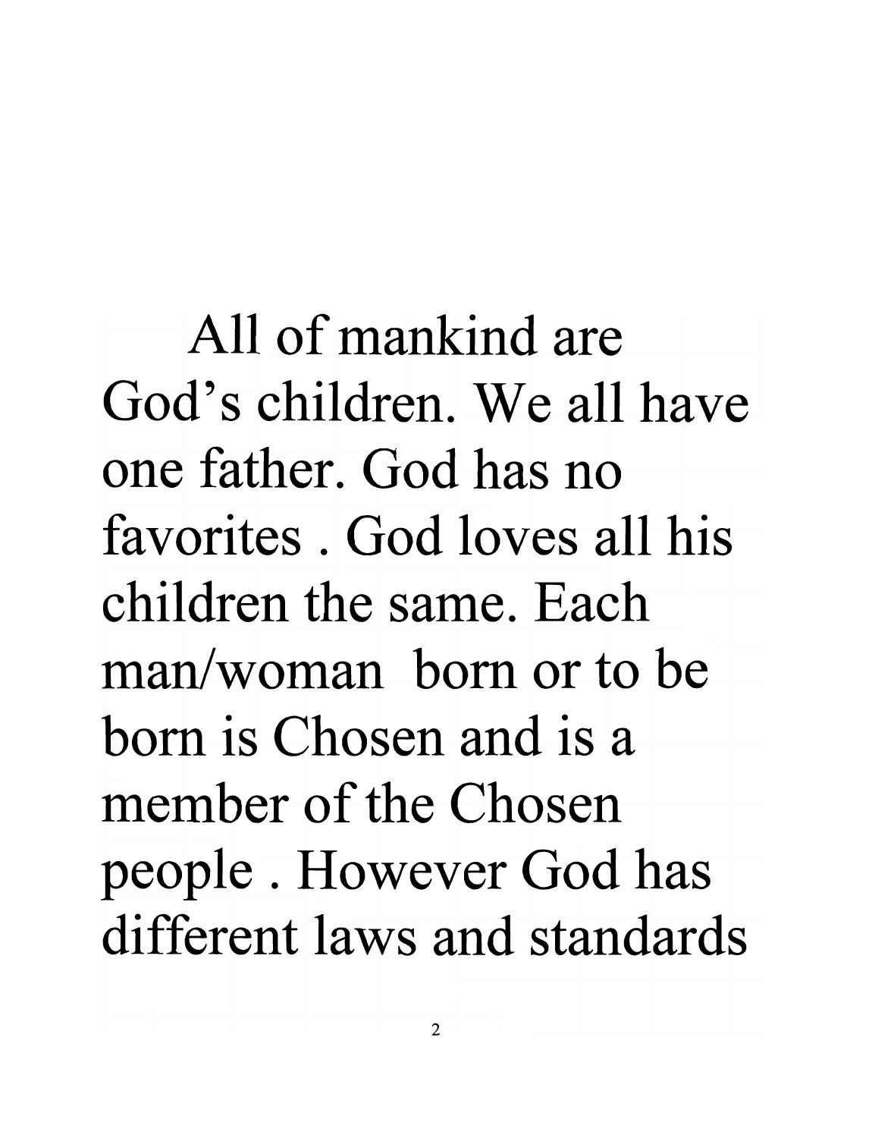All of mankind are God's children. We all have one father. God has no favorites . God loves all his children the same. Each man/woman born or to be born is Chosen and is a member of the Chosen people . However God has different laws and standards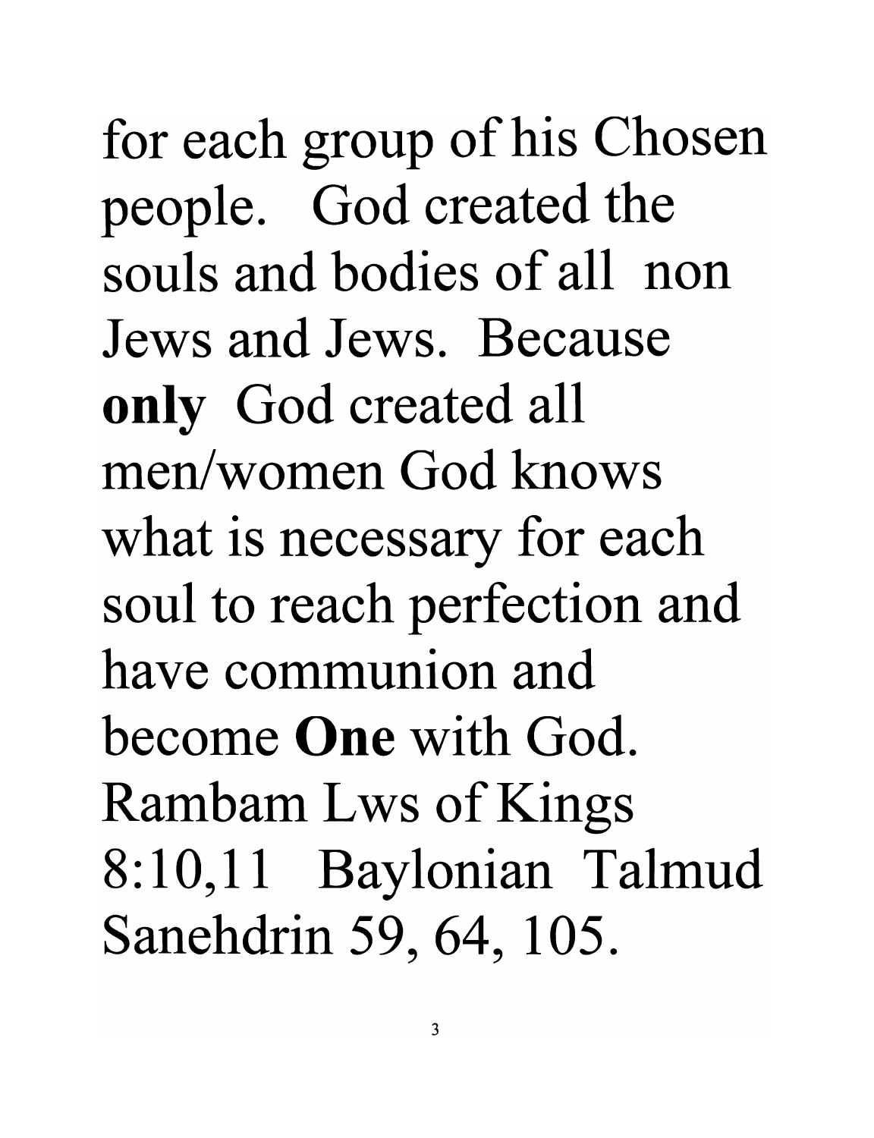for each group of his Chosen people. God created the souls and bodies of all non Jews and Jews. Because only God created all men/women God knows what is necessary for each soul to reach perfection and have communion and become One with God. Rambam Lws of Kings 8:10,11 Baylonian Talmud Sanehdrin 59, 64, 105.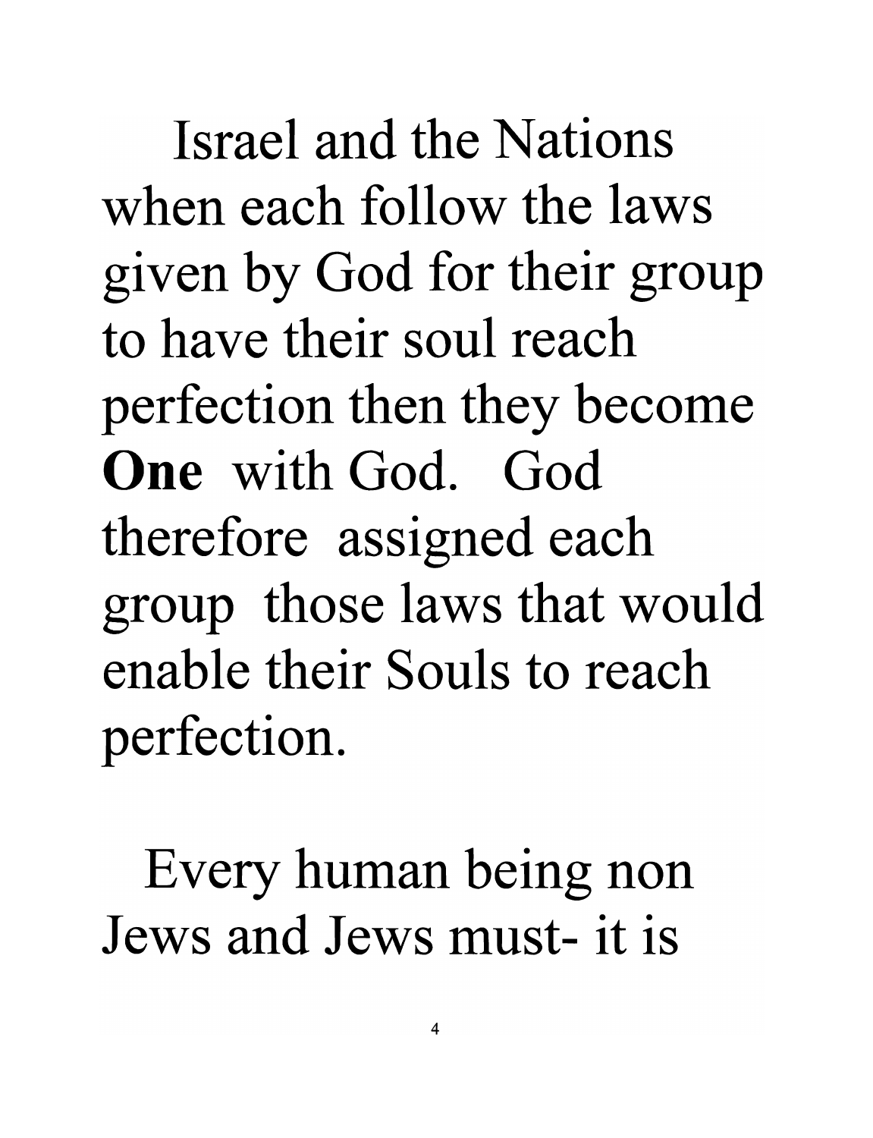Israel and the Nations when each follow the laws given by God for their group to have their soul reach perfection then they become **One** with God. God therefore assigned each group those laws that would enable their Souls to reach perfection.

Every human being non Jews and Jews must- it is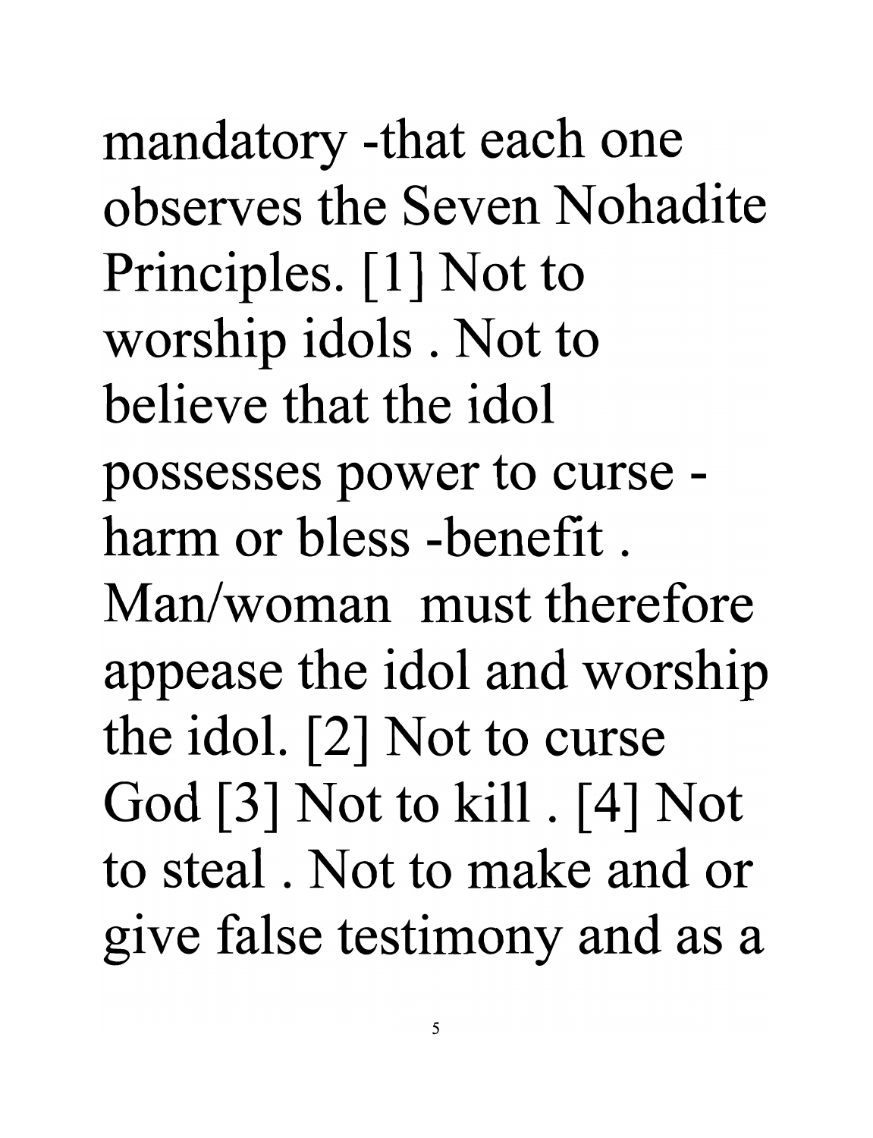mandatory -that each one observes the Seven Nohadite Principles. [1] Not to worship idols. Not to believe that the idol possesses power to curse harm or bless -benefit. Man/woman must therefore appease the idol and worship the idol. [2] Not to curse God [3] Not to kill. [4] Not to steal . Not to make and or give false testimony and as a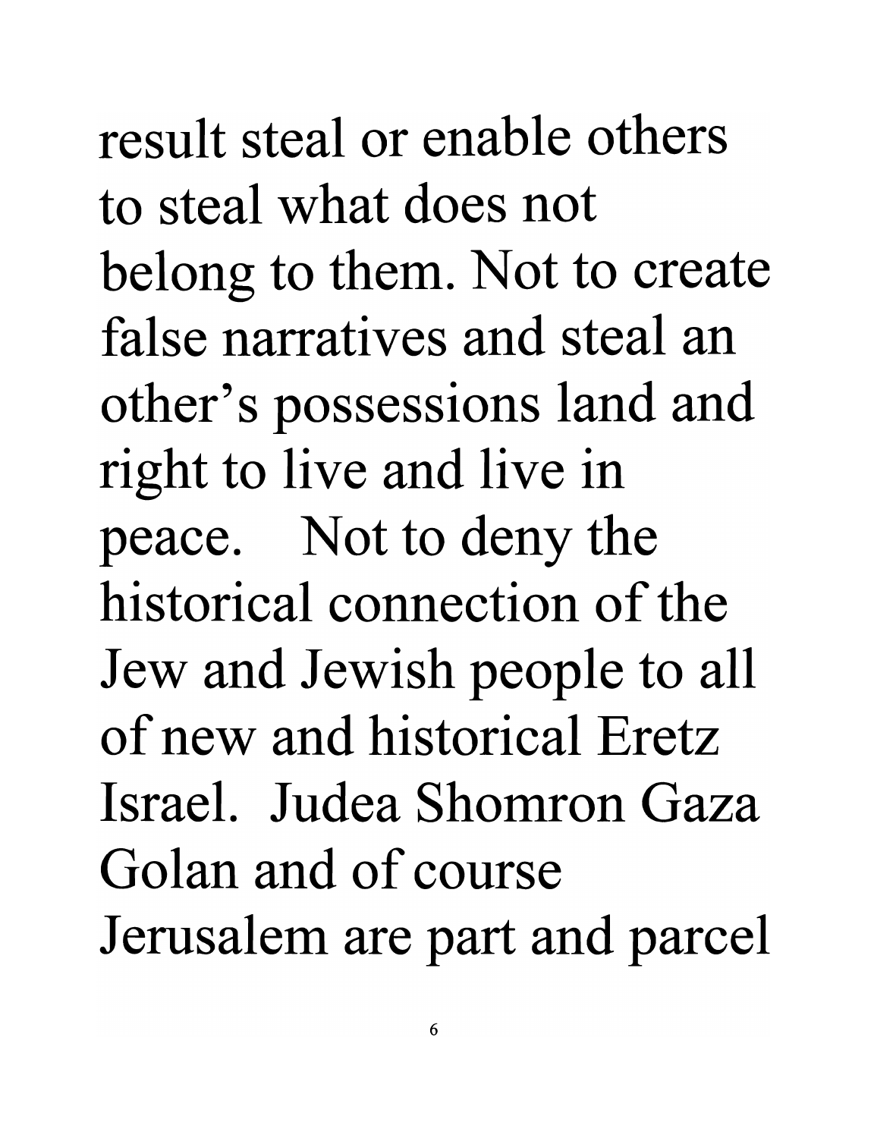result steal or enable others **to steal what does not**  belong to them. Not to create **false narratives and steal an**  other's possessions land and right to live and live in peace. Not to deny the **historical connection of the**  Jew and Jewish people to all **of new and historical Eretz Israel. Judea Shomron Gaza Golan and of course**  Jerusalem are part and parcel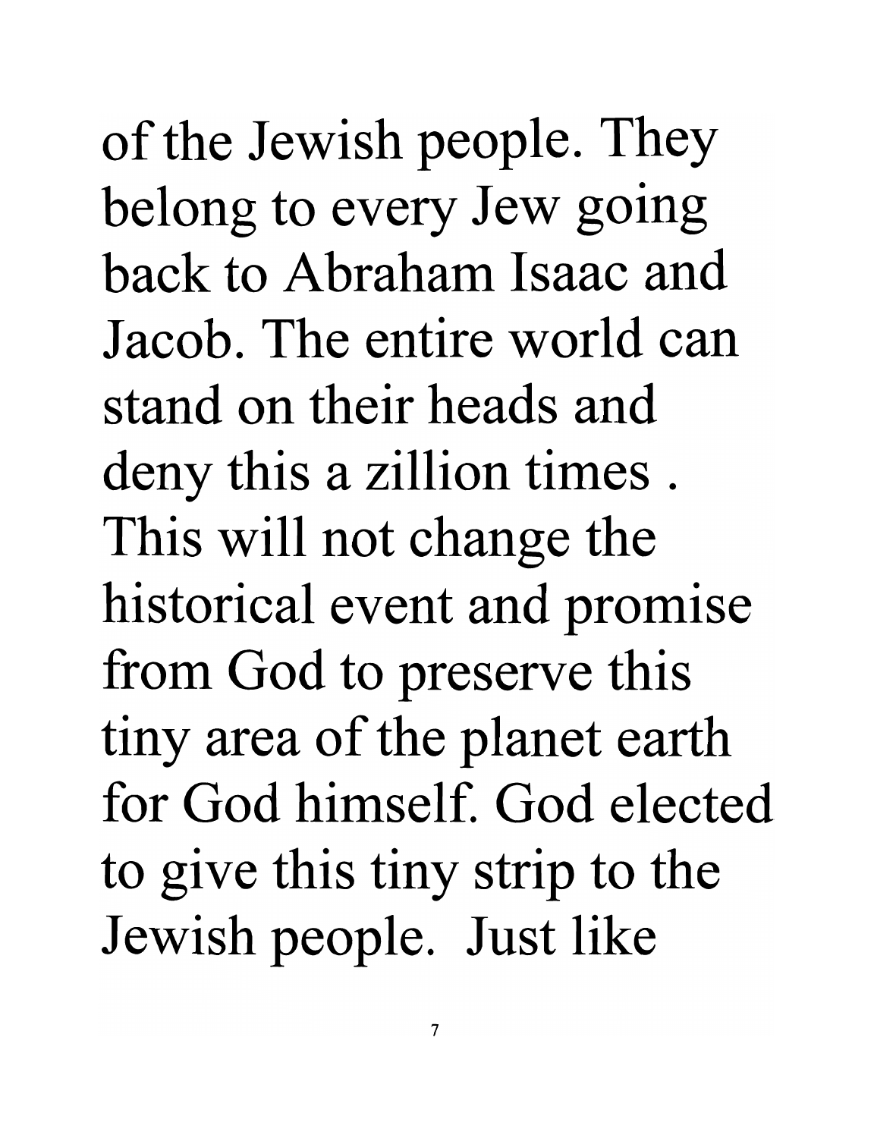of the Jewish people. They belong to every Jew going back to Abraham Isaac and **Jacob. The entire world can stand on their heads and**  deny this a zillion times . This will not change the historical event and promise from God to preserve this tiny area of the planet earth **for God himself. God elected**  to give this tiny strip to the Jewish people. Just like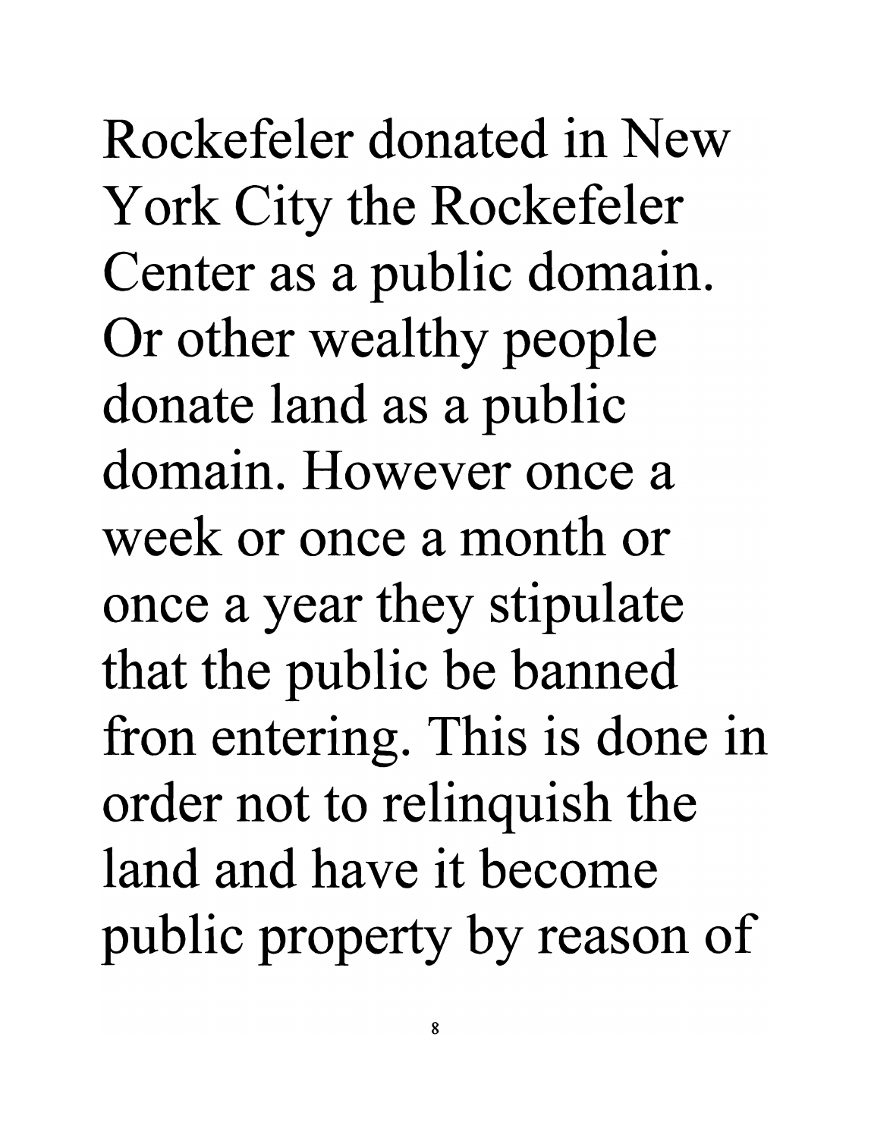**Rockefeler donated in New**  York City the Rockefeler Center as a public domain. Or other wealthy people donate land as a public **domain. However once a week or once a month or**  once a year they stipulate that the public be banned fron entering. This is done in order not to relinquish the **land and have it become**  public property by reason of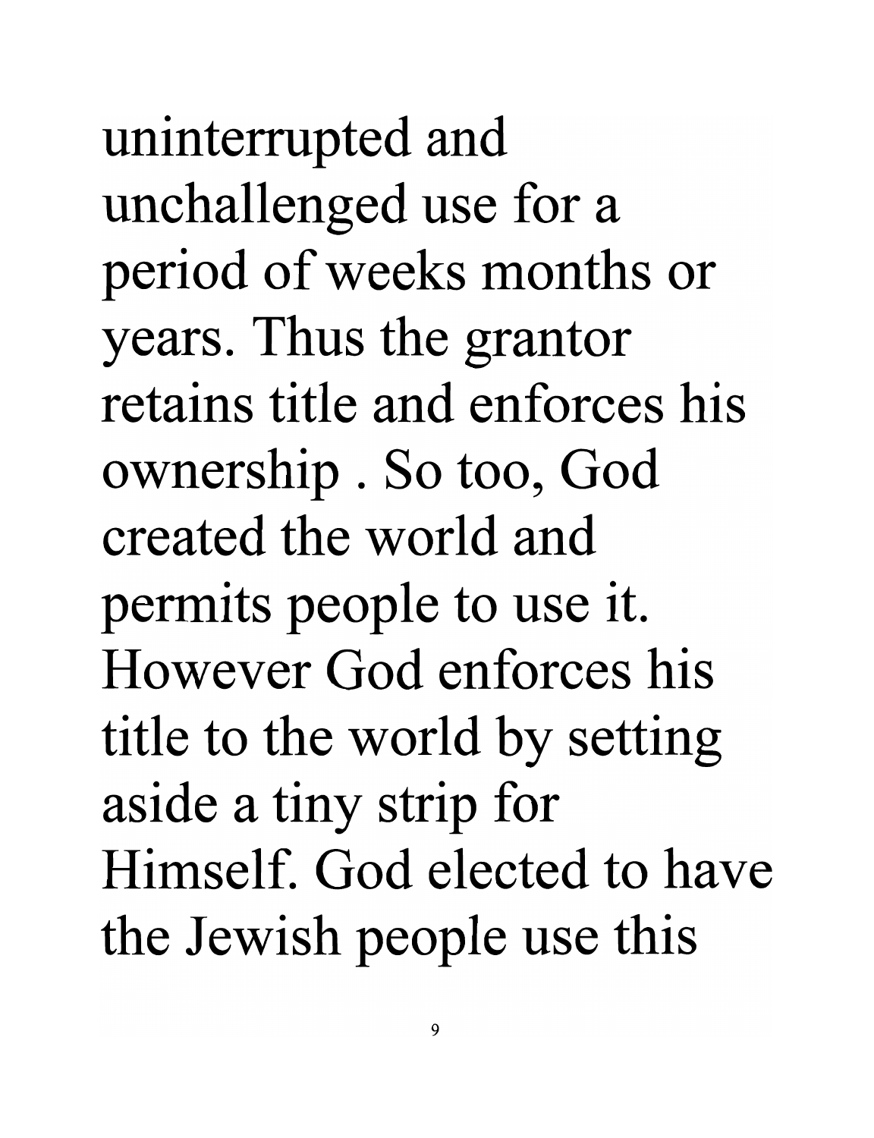uninterrupted and unchallenged use for a period of weeks months or years. Thus the grantor **retains title and enforces his**  ownership . So too, God **created the world and**  permits people to use it. **However God enforces his**  title to the world by setting aside a tiny strip for **Himself. God elected to have**  the Jewish people use this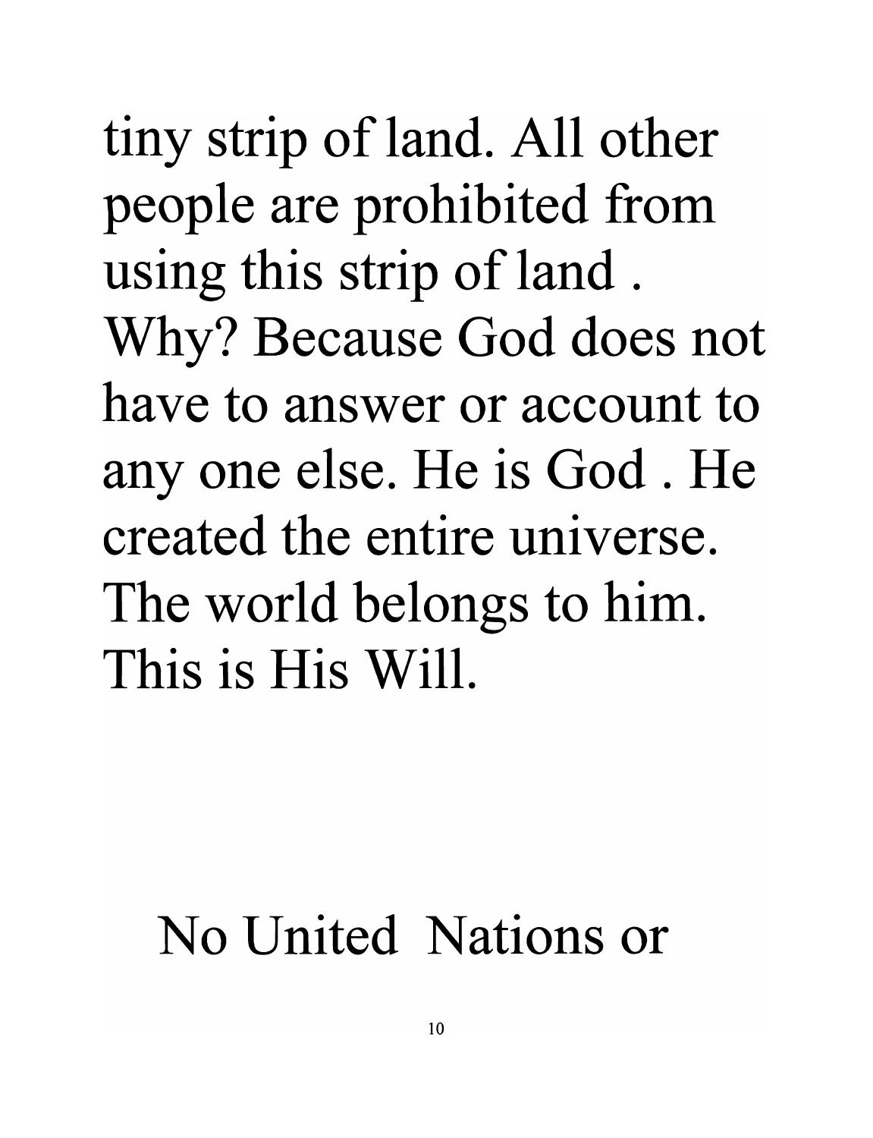tiny strip of land. All other people are prohibited from using this strip of land . Why? Because God does not **have to answer or account to**  anyone else. He is God. He **created the entire universe.**  The world belongs to him. **This is His Will.** 

#### **No United Nations or**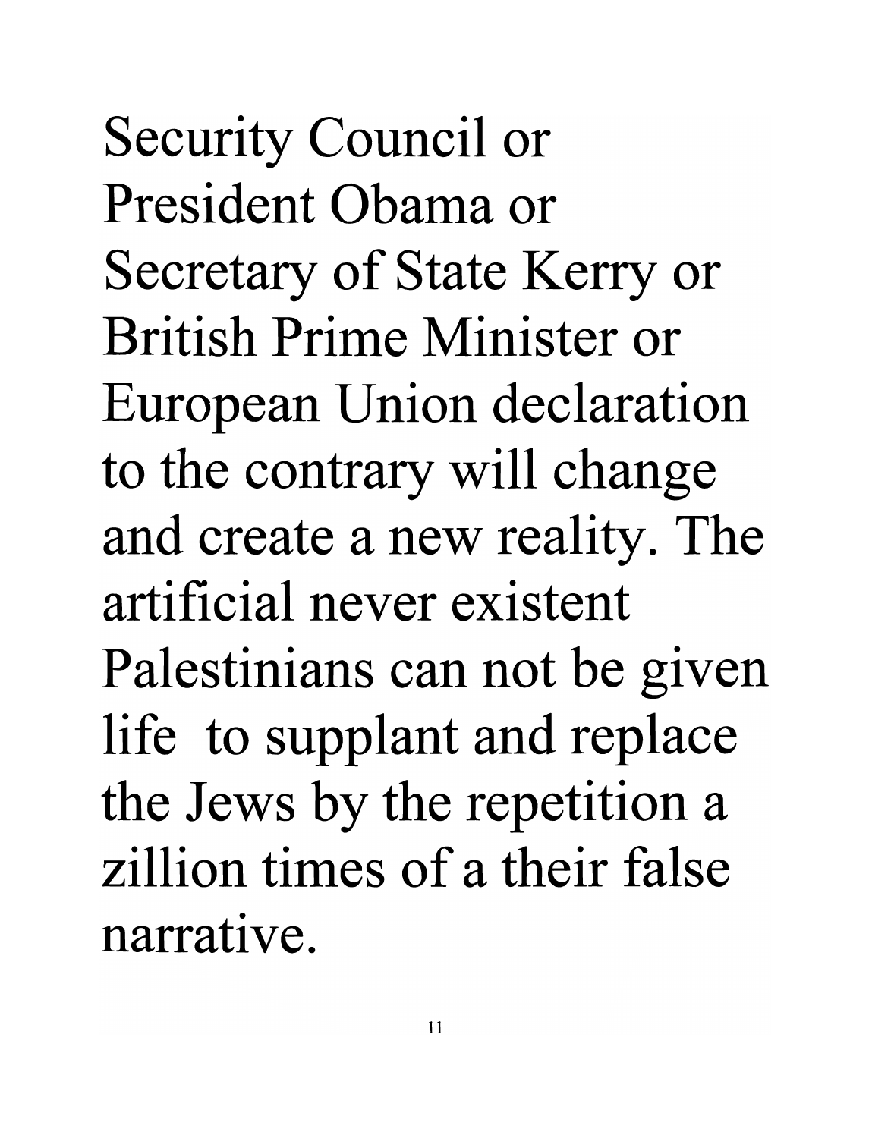Security Council or **President Obama or**  Secretary of State Kerry or **British Prime Minister or**  European Union declaration to the contrary will change and create a new reality. The **artificial never existent**  Palestinians can not be given life to supplant and replace the Jews by the repetition a **zillion times of a their false narrative.**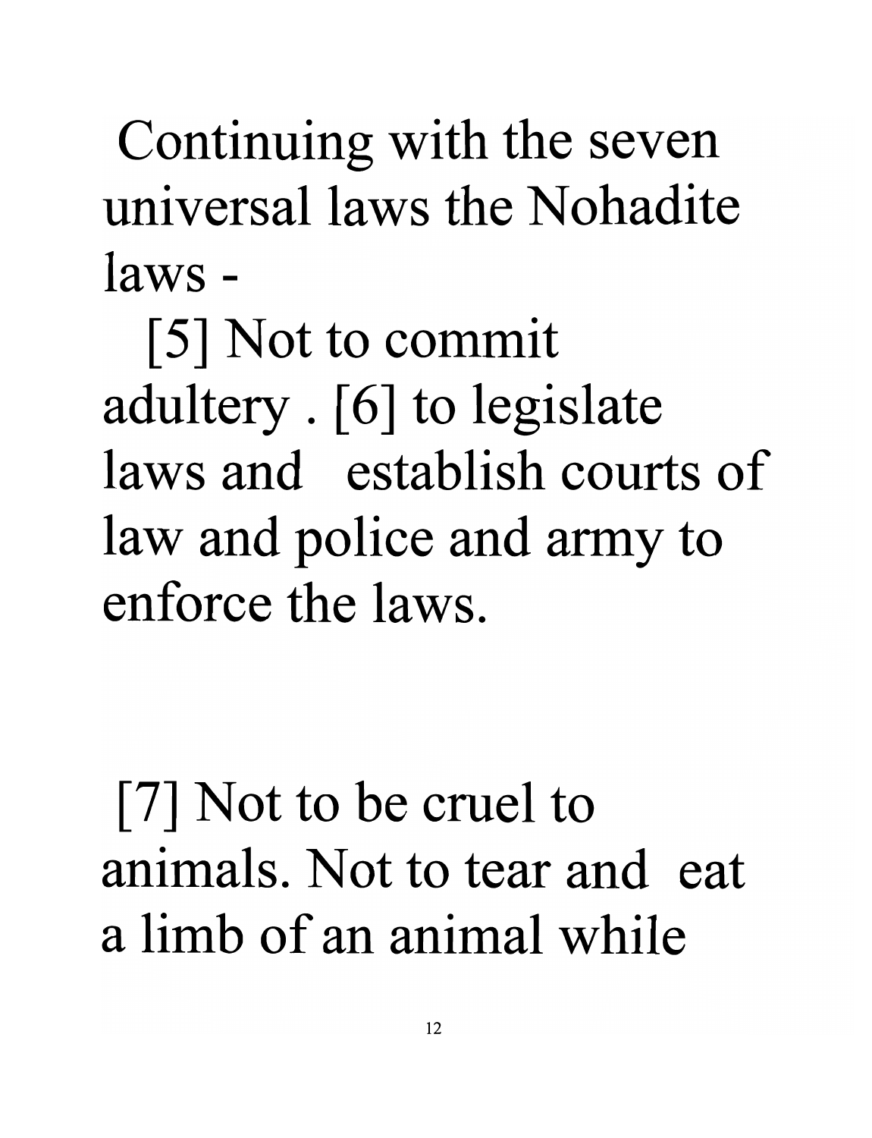Continuing with the seven universal laws the Nohadite **laws -**

[5] Not to commit adultery . [6] to legislate **laws and establish courts of**  law and police and army to **enforce the laws.** 

[7] Not to be cruel to **animals. Not to tear and eat a limb of an animal while**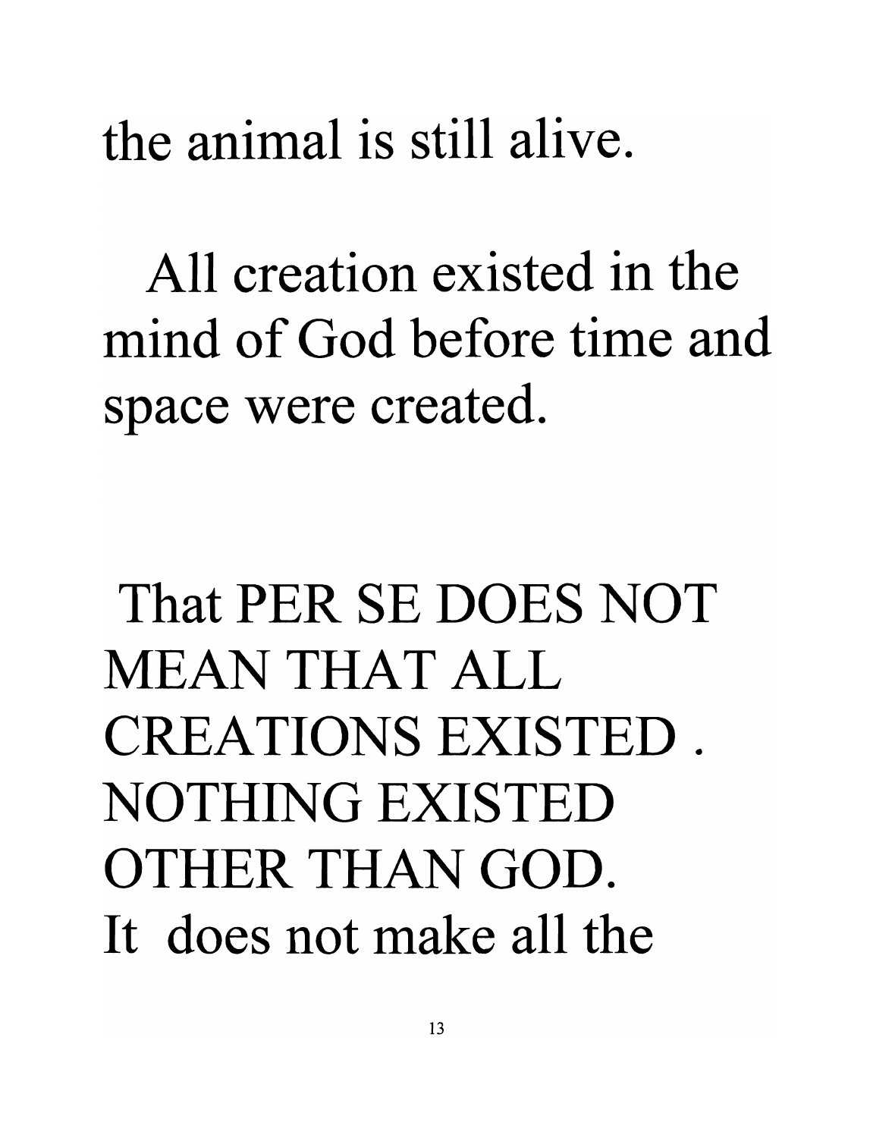the animal is still alive.

All creation existed in the mind of God before time and space were created.

# That PER SE DOES NOT MEAN THAT ALL CREATIONS EXISTED. NOTHING EXISTED OTHER THAN GOD. It does not make all the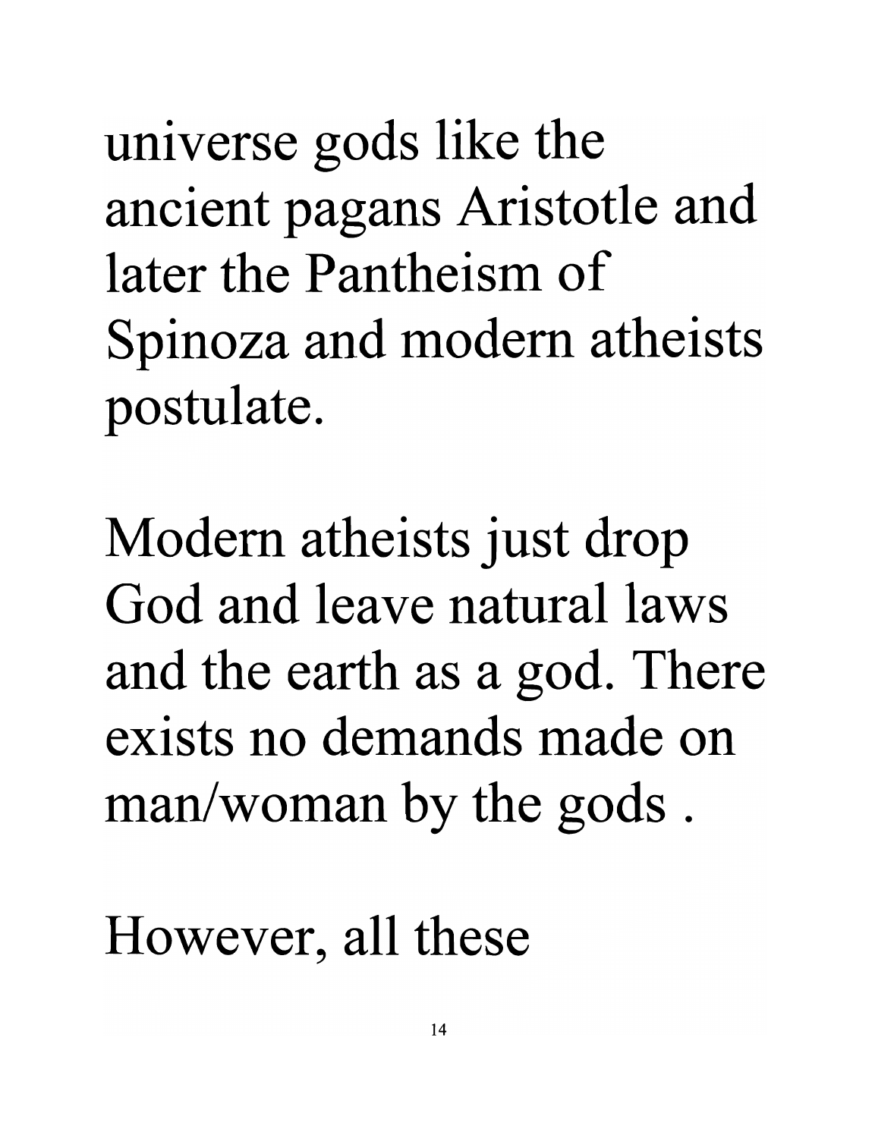universe gods like the ancient pagans Aristotle and **later the Pantheism of**  Spinoza and modem atheists postulate.

Modem atheists just drop **God and leave** natural laws and the earth as a god. There **exists no demands made on**  man/woman by the gods .

However, all these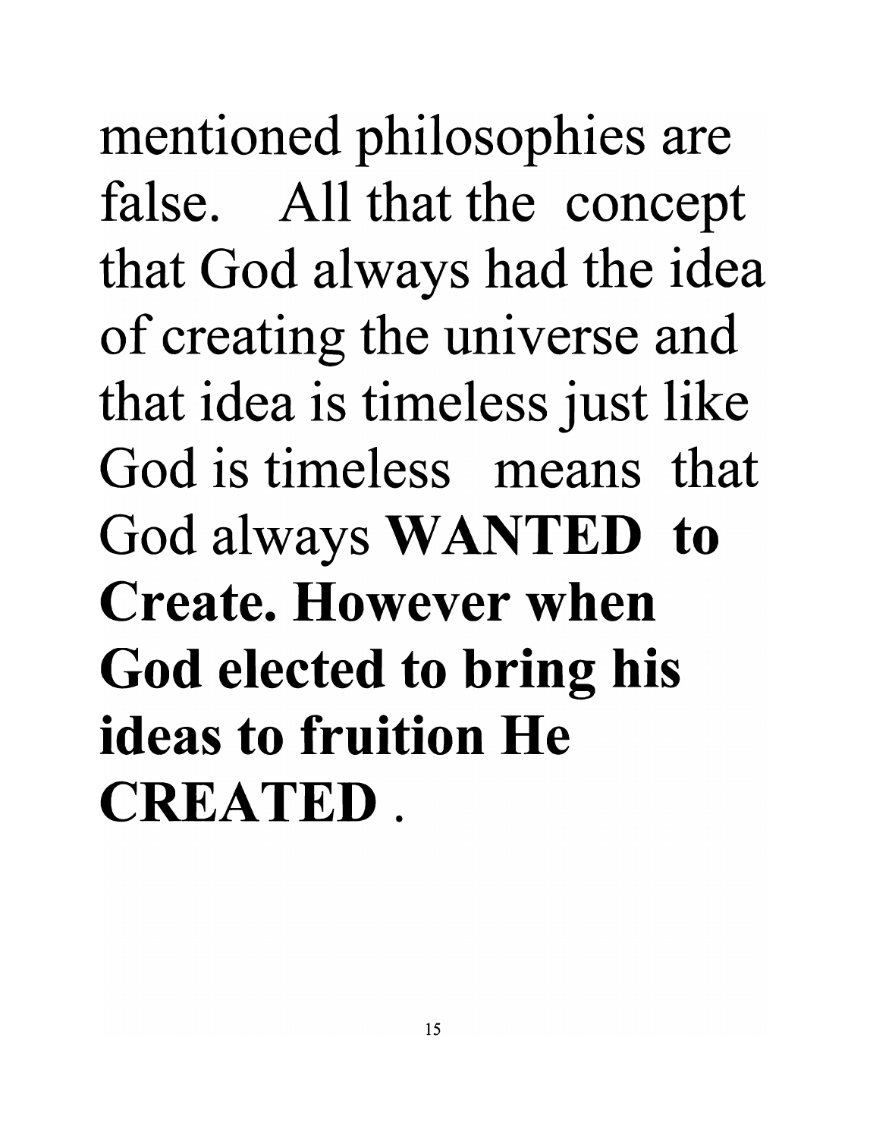mentioned philosophies are false. All that the concept that God always had the idea of creating the universe and that idea is timeless just like **God is timeless means that**  God always **WANTED to Create. However when God elected to bring his ideas to fruition He CREATED.**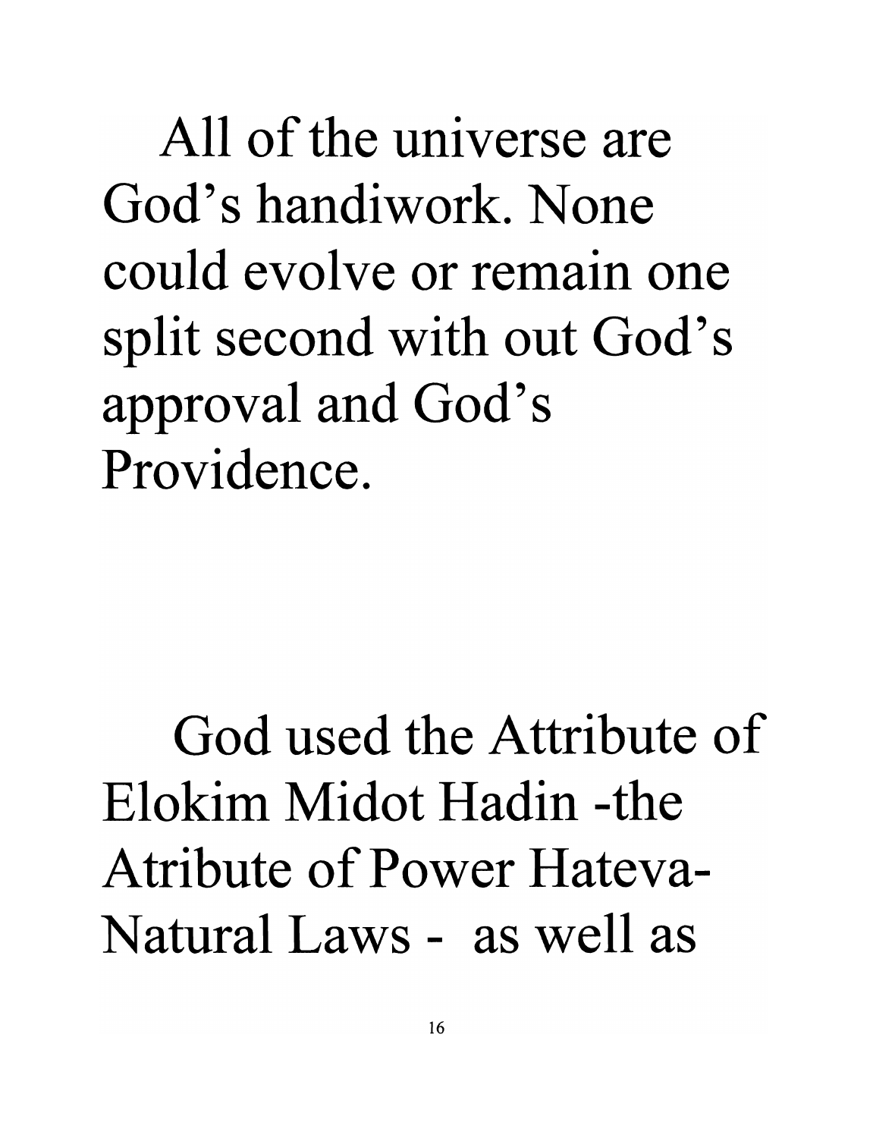All of the universe are God's handiwork. None could evolve or remain one split second with out God's approval and God's Providence.

God used the Attribute of Elokim Midot Hadin -the Atribute of Power Hateva-Natural Laws - as well as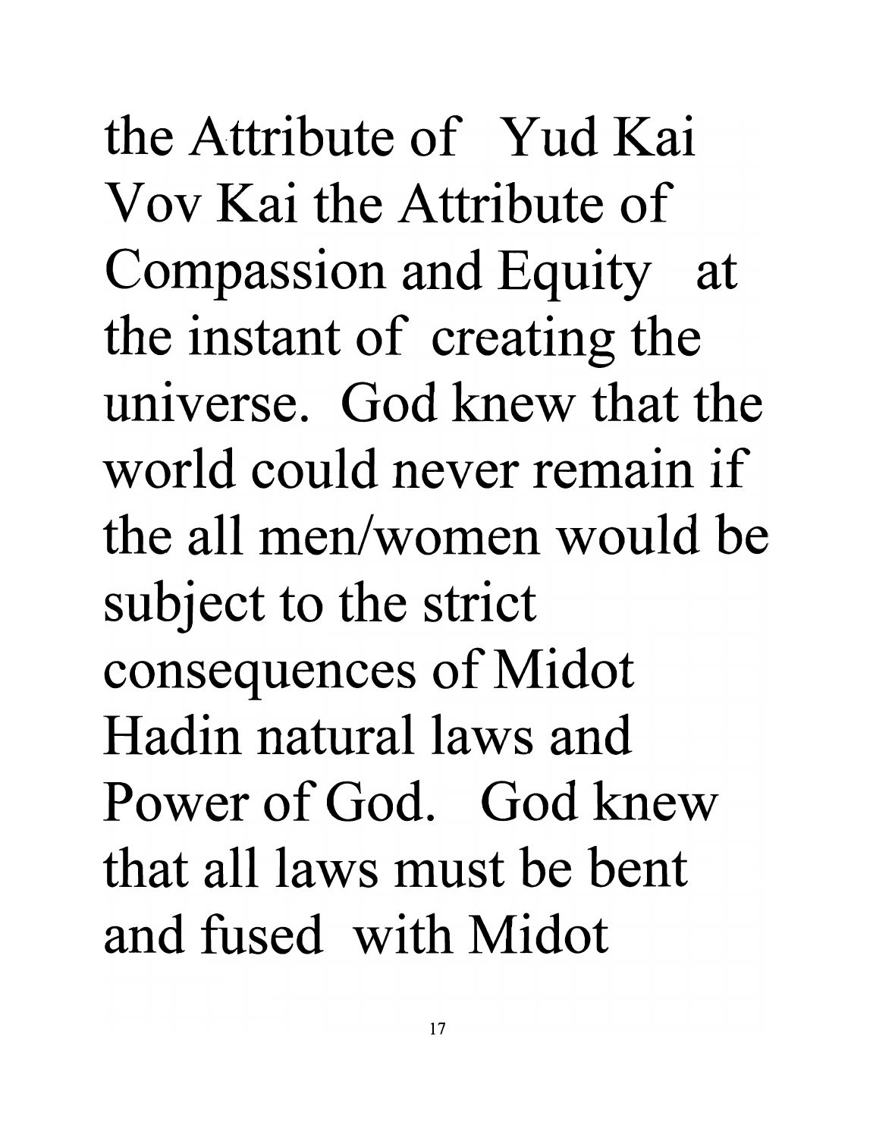the Attribute of Yud Kai Vov Kai the Attribute of Compassion and Equity at the instant of creating the universe. God knew that the world could never remain if the all men/women would be subject to the strict consequences of Midot Hadin natural laws and Power of God. God knew that all laws must be bent and fused with Midot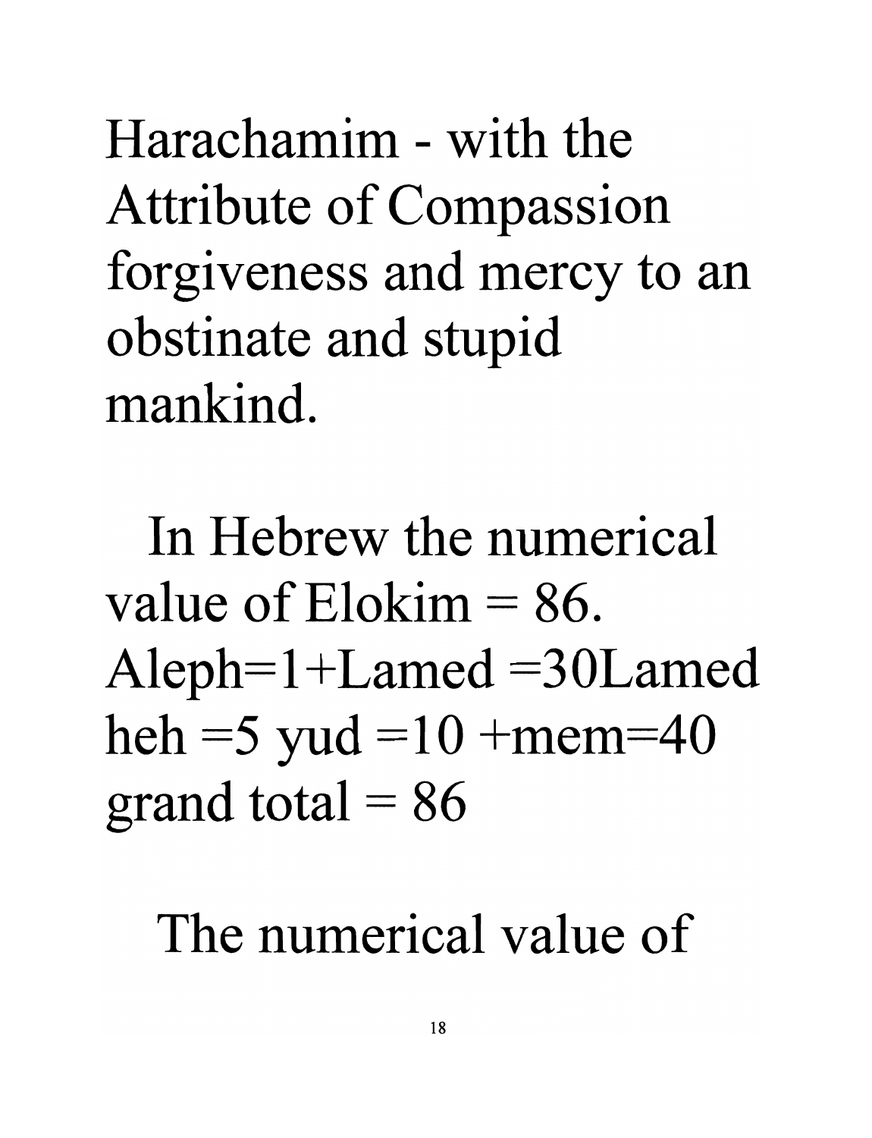Harachamim - with the Attribute of Compassion forgiveness and mercy to an obstinate and stupid mankind.

In Hebrew the numerical value of  $E$ lokim  $= 86$ .  $Aleph=1+Lamed = 30Lamed$ heh = 5 yud =  $10 + \text{mem} = 40$ grand total  $= 86$ 

#### The numerical value of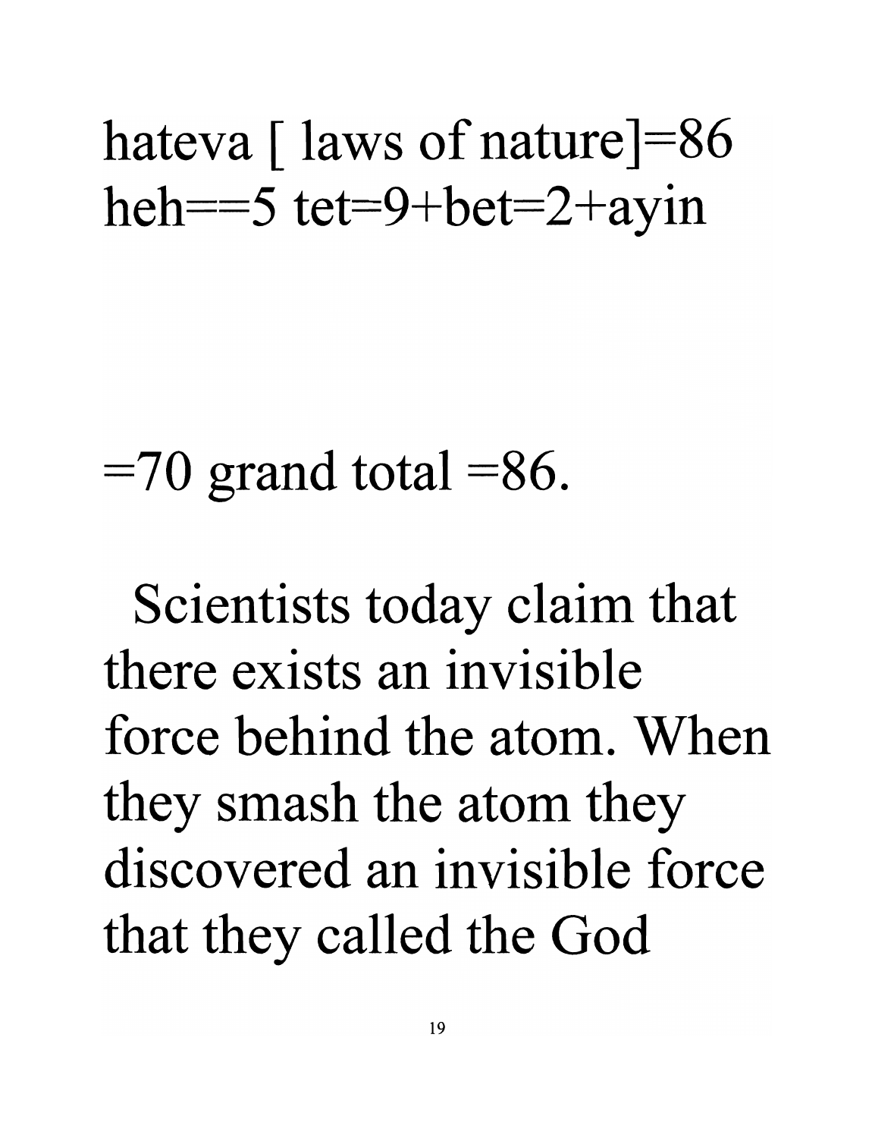hateva  $\lceil$  laws of nature  $\lceil$ =86 heh== $5 \text{ tet}=9+\text{bet}=2+\text{ayin}$ 

 $=70$  grand total  $=86$ .

Scientists today claim that **there exists an invisible force behind the atom. When**  they smash the atom they **discovered an invisible force**  that they called the God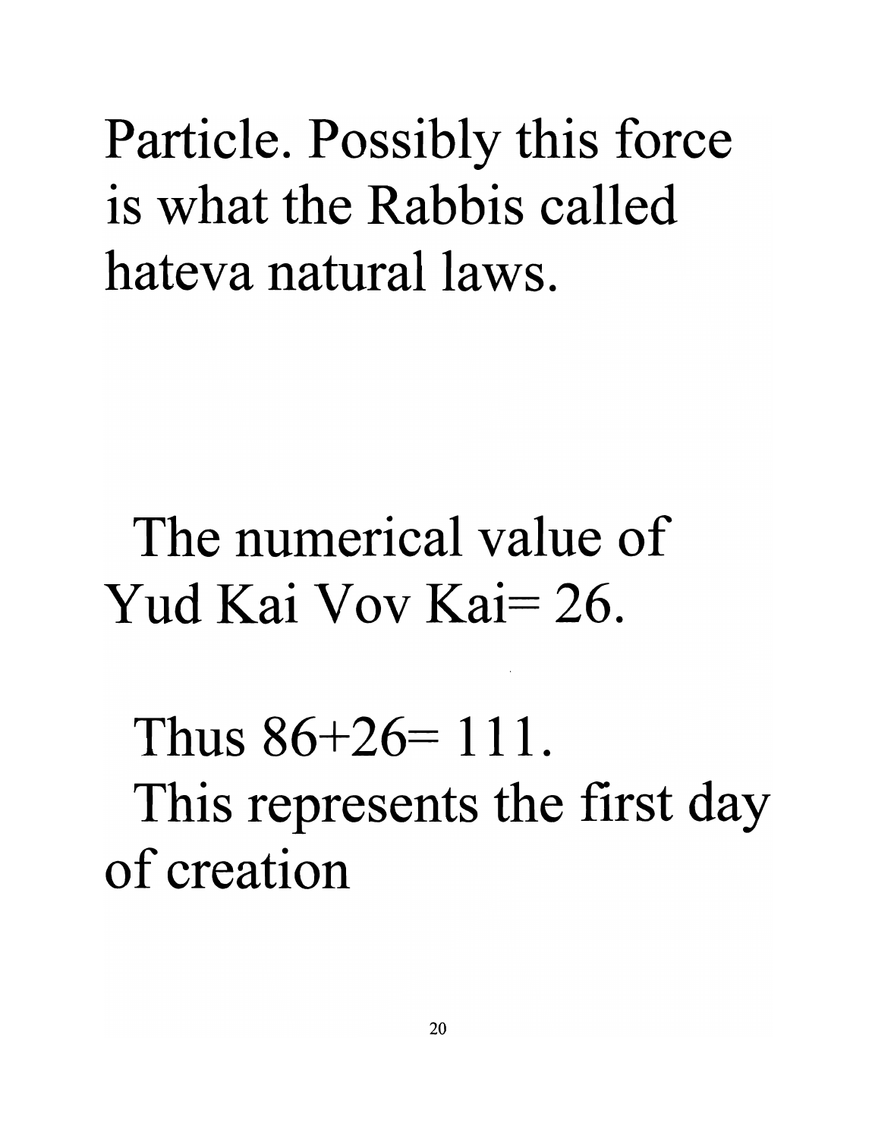Particle. Possibly this force **is what the Rabbis called hateva** natural laws.

**The numerical value of**  Yud Kai Vov Kai= 26.

Thus  $86+26=111$ . This represents the first day **of creation**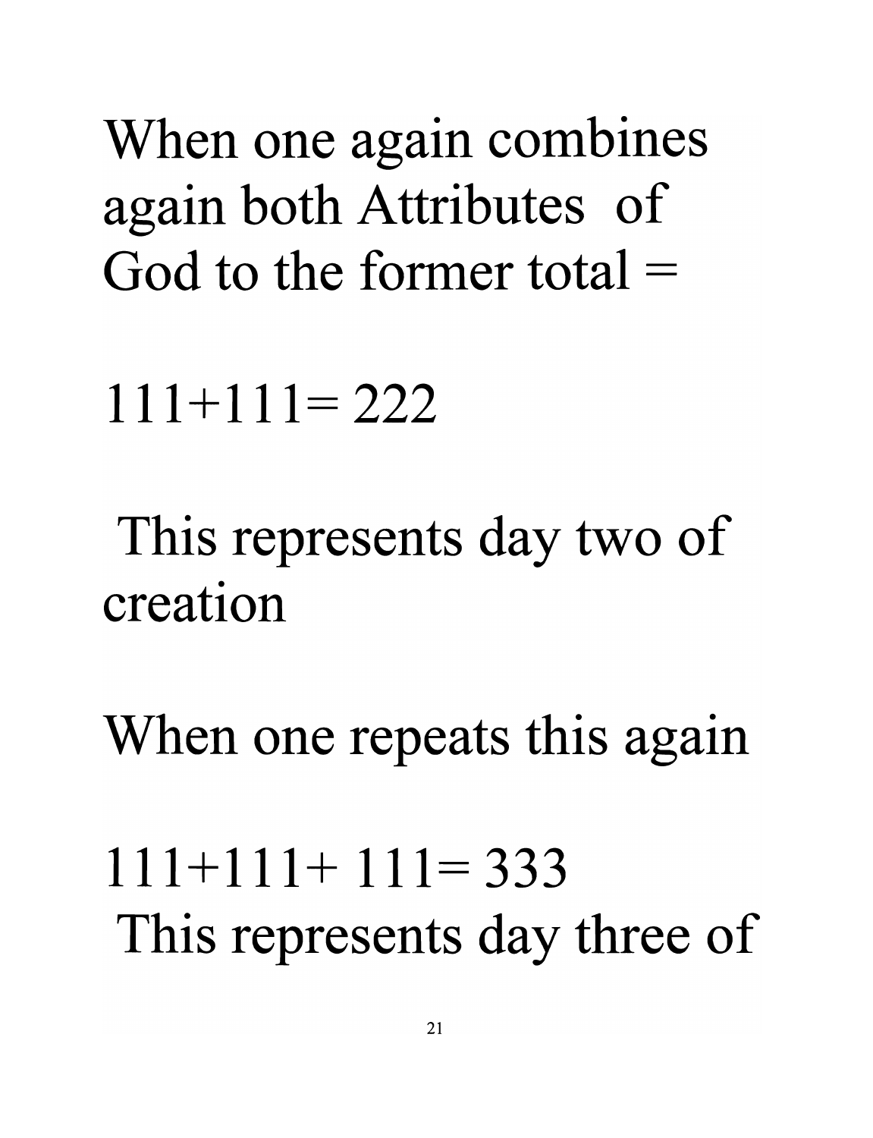When one again combines again both Attributes of **God to the former total ==** 

 $111 + 111 = 222$ 

This represents day two of **creation** 

When one repeats this again

 $111 + 111 + 111 = 333$ This represents day three of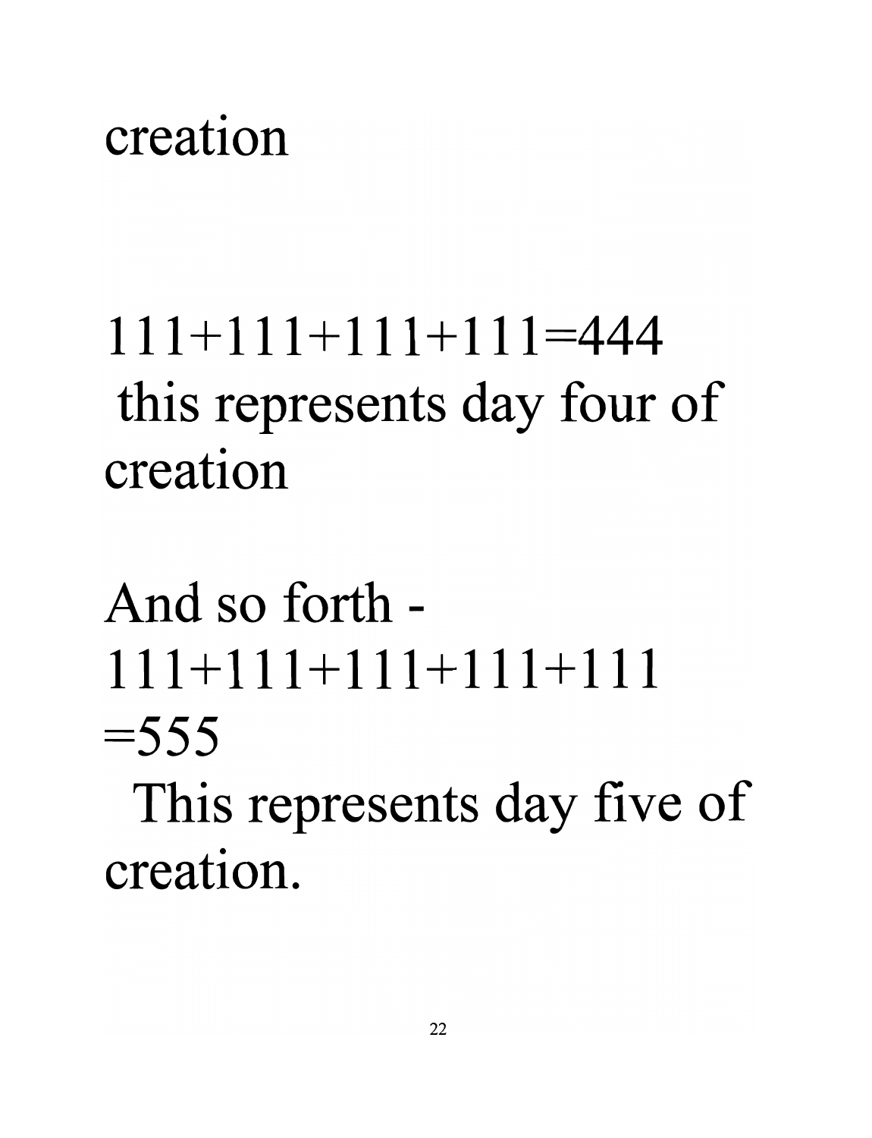#### **creation**

# **111+111+111+111=444**  this represents day four of **creation**

# And **so** forth - **111+111+111+111+111**   $=$  555

This represents day five of **creation.**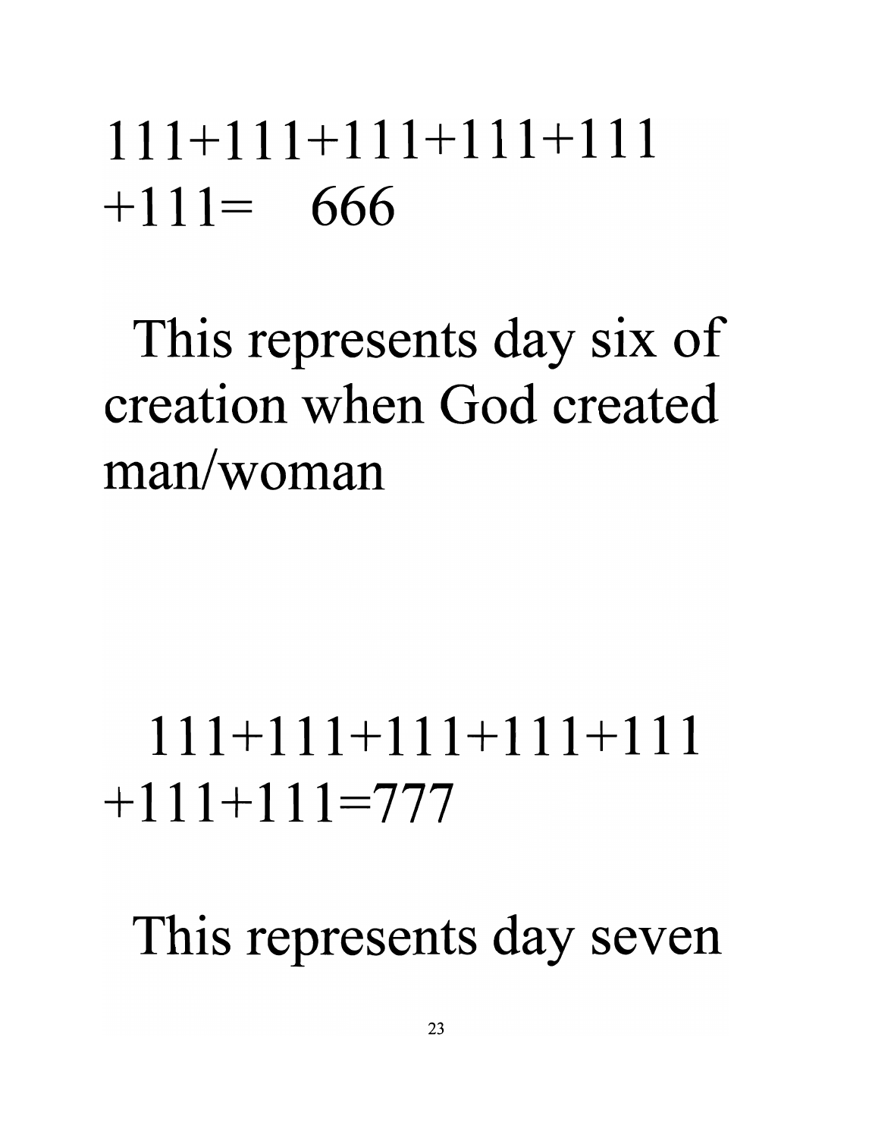### **111+111+111+111+111**   $+111 = 666$

This represents day six of **creation when God created man/woman** 

# **111+111+111+111+111**   $+111 + 111 = 7777$

This represents day seven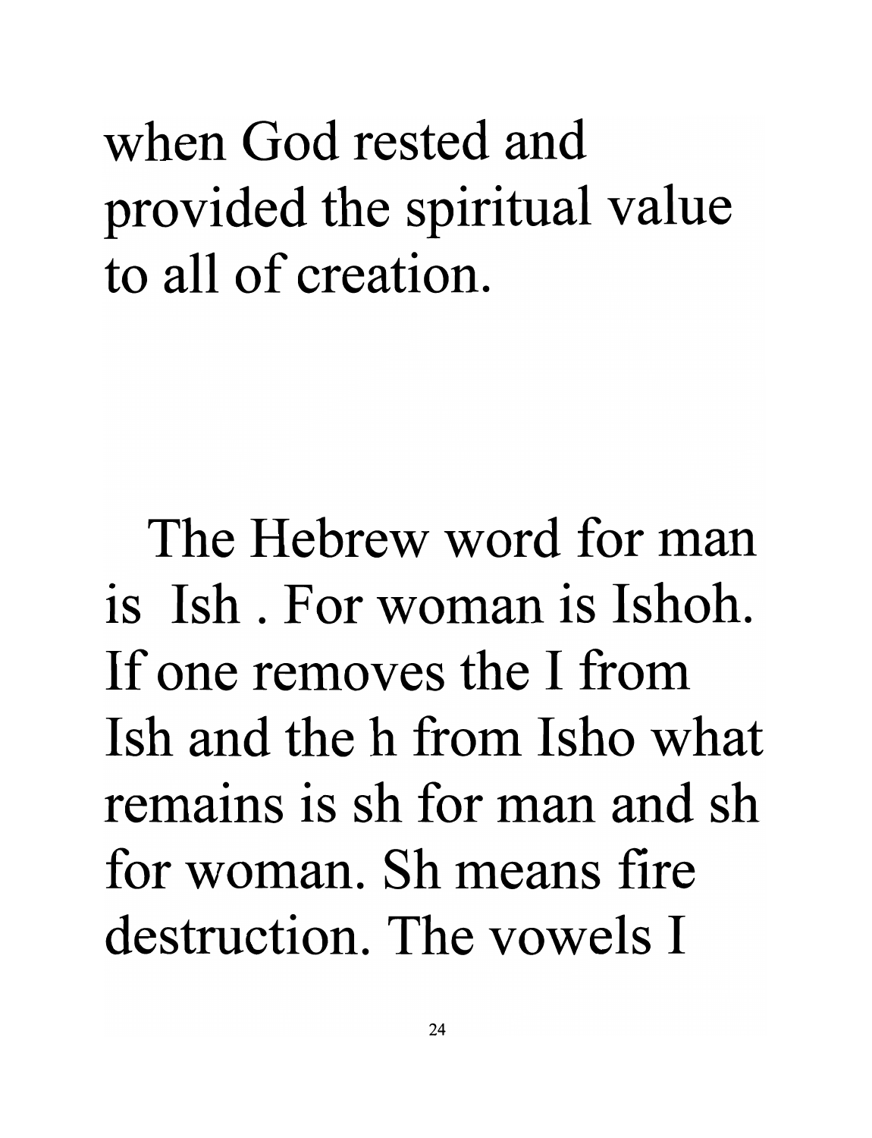when God rested and provided the spiritual value to all of creation.

The Hebrew word for man is Ish. For woman is Ishoh. If one removes the I from Ish and the h from Isho what remains is sh for man and sh for woman. Sh means fire destruction. The vowels I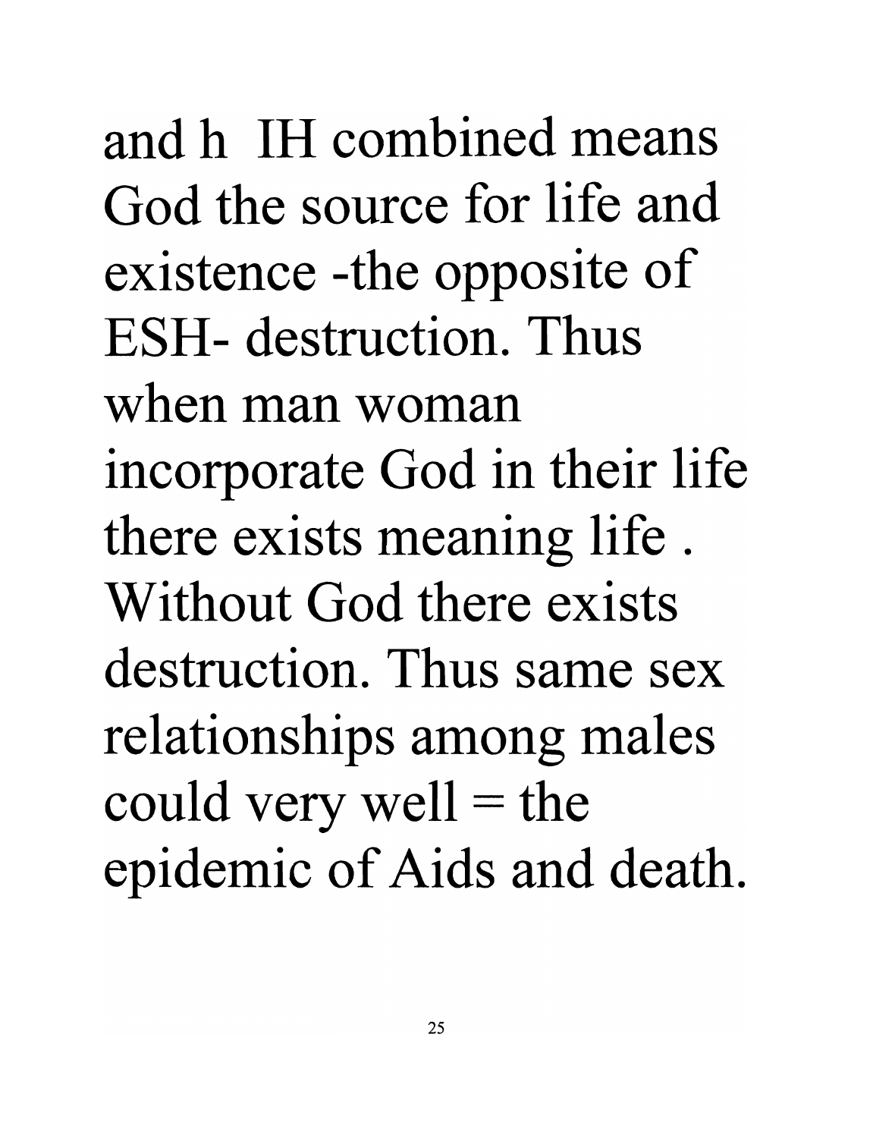and h IH combined means God the source for life and existence -the opposite of ESH- destruction. Thus when man woman incorporate God in their life there exists meaning life . Without God there exists destruction. Thus same sex relationships among males could very well  $=$  the epidemic of Aids and death.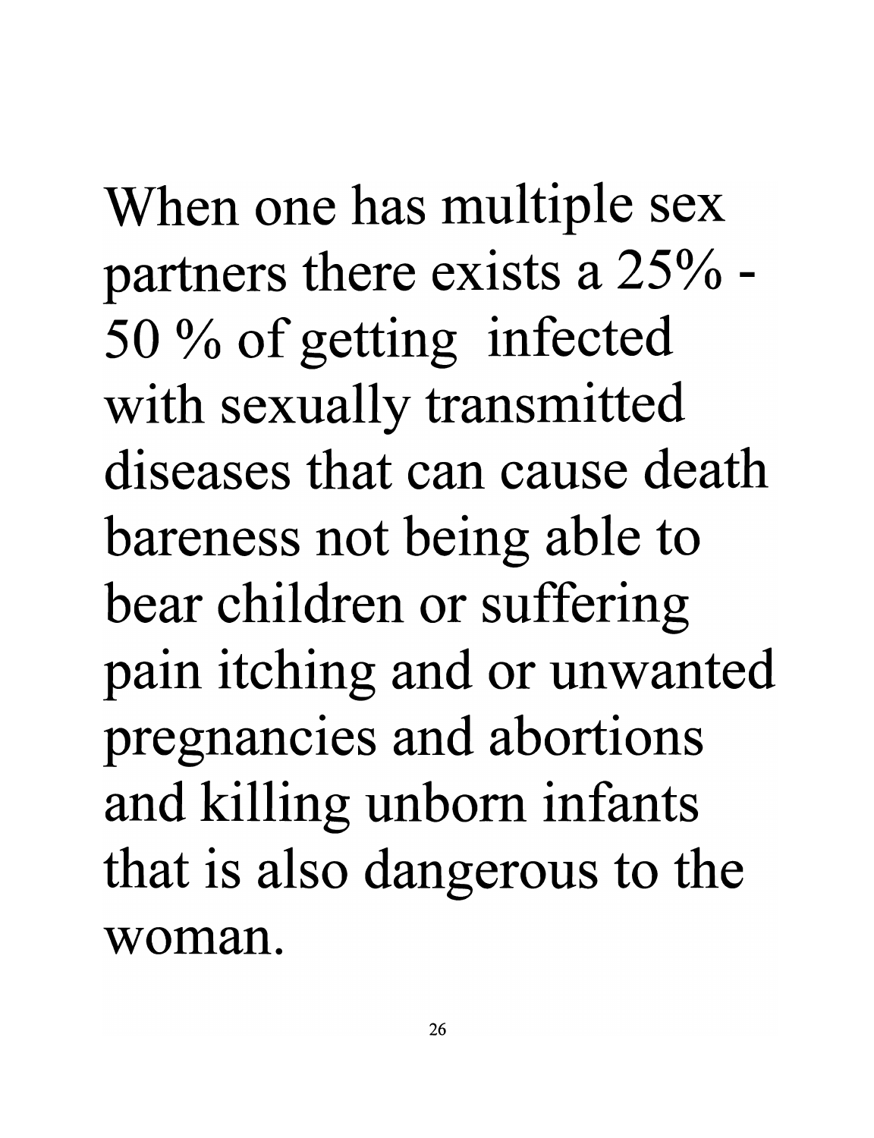When one has multiple sex partners there exists a 25% - 50 % of getting infected with sexually transmitted **diseases that can cause death**  bareness not being able to bear children or suffering pain itching and or unwanted pregnancies and abortions and killing unborn infants that is also dangerous to the **woman.**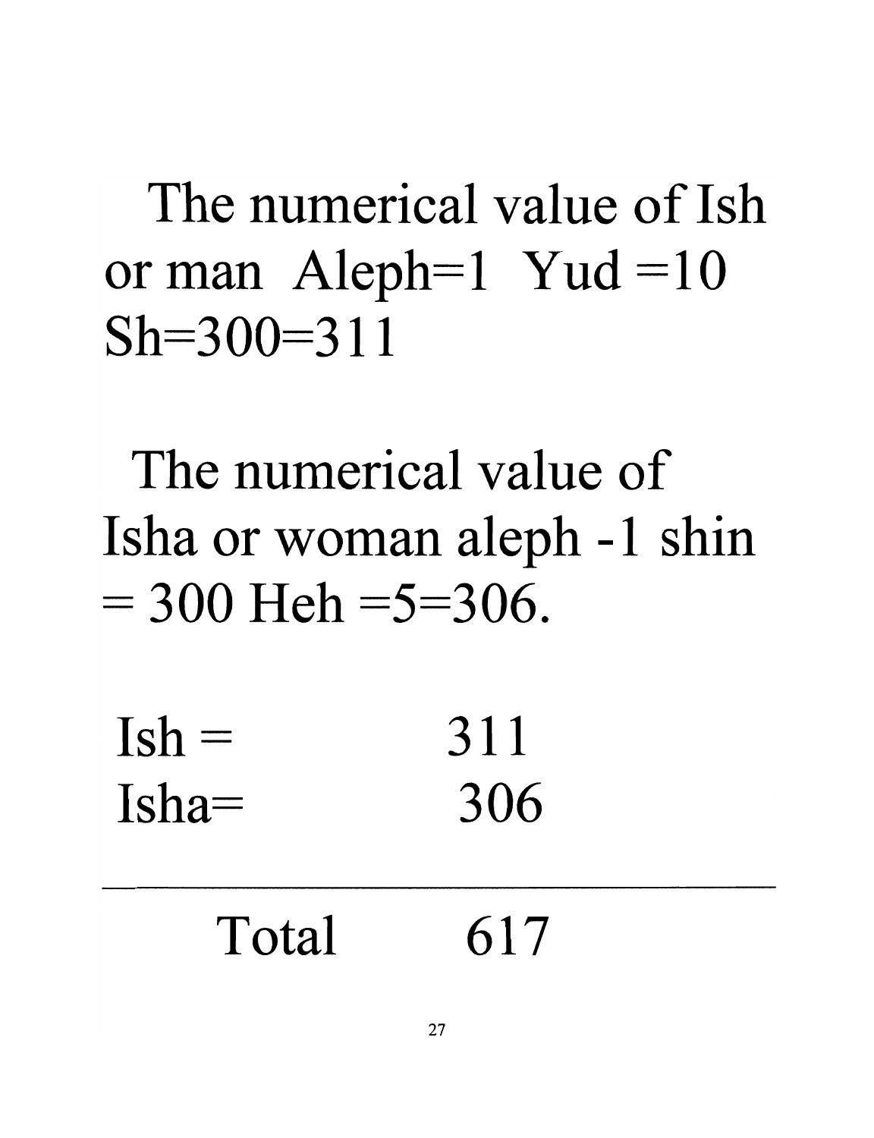The numerical value of Ish or man Aleph=1 Yud =10  $Sh = 300 = 311$ 

The numerical value of Isha or woman aleph -1 shin  $= 300$  Heh  $= 5 = 306$ .

 $Ish =$  311  $Isha = 306$ 

| Total | 617 |
|-------|-----|
|       |     |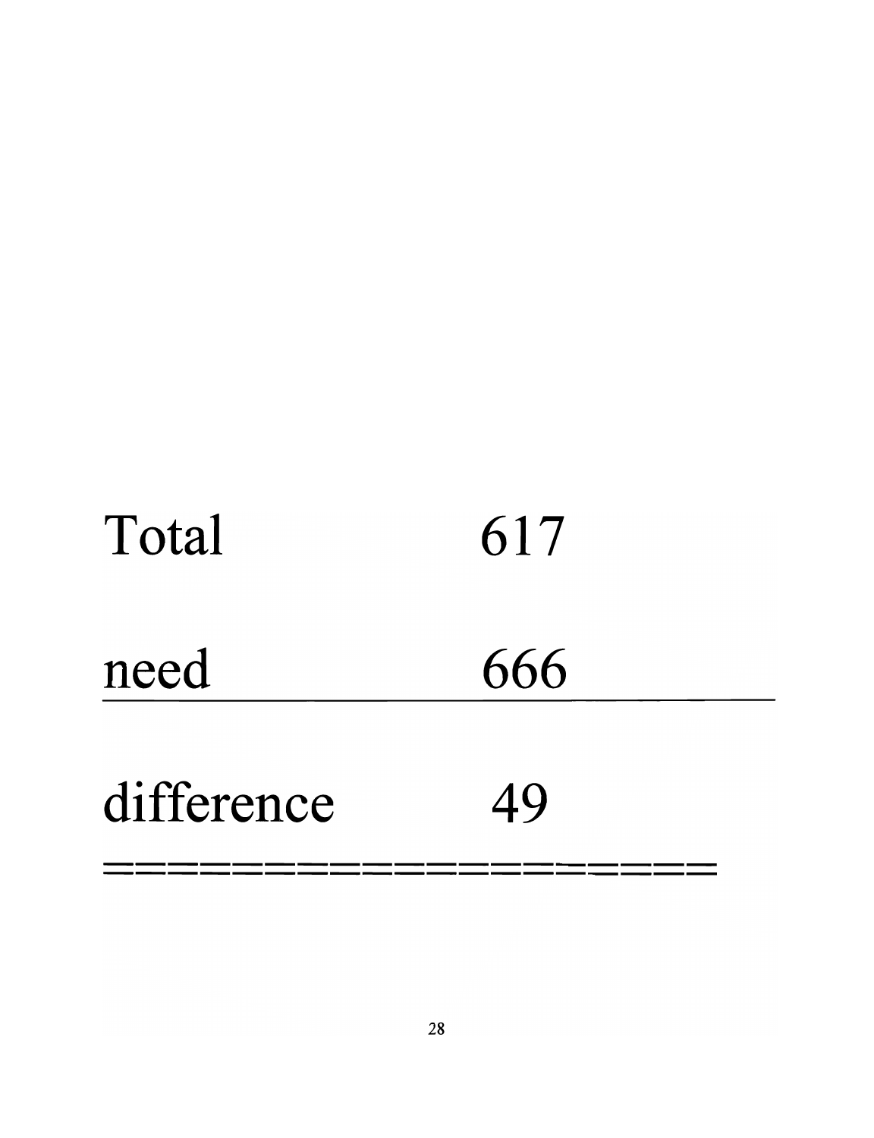| Total      | 617 |
|------------|-----|
| need       | 666 |
| difference | 49  |
|            |     |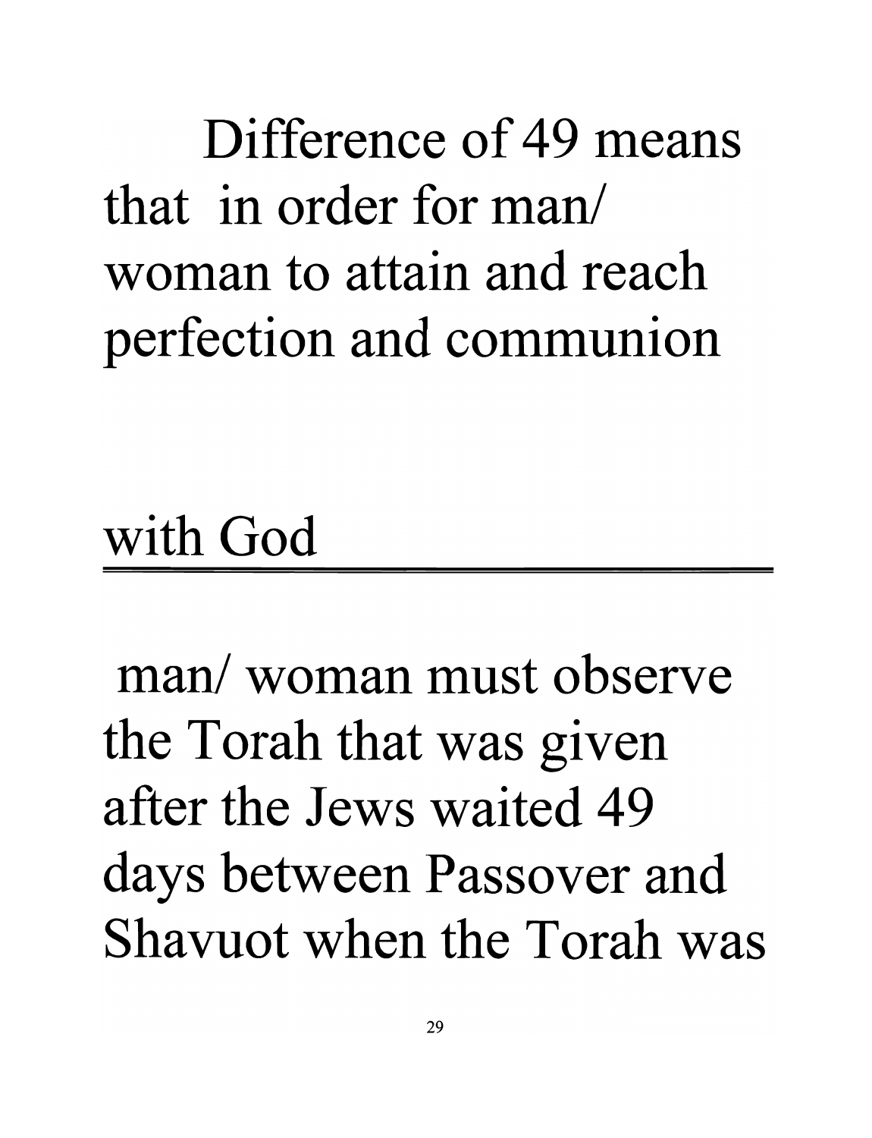Difference of 49 means that in order for man/ woman to attain and reach perfection and communion

with God

man/ woman must observe the Torah that was given after the Jews waited 49 days between Passover and Shavuot when the Torah was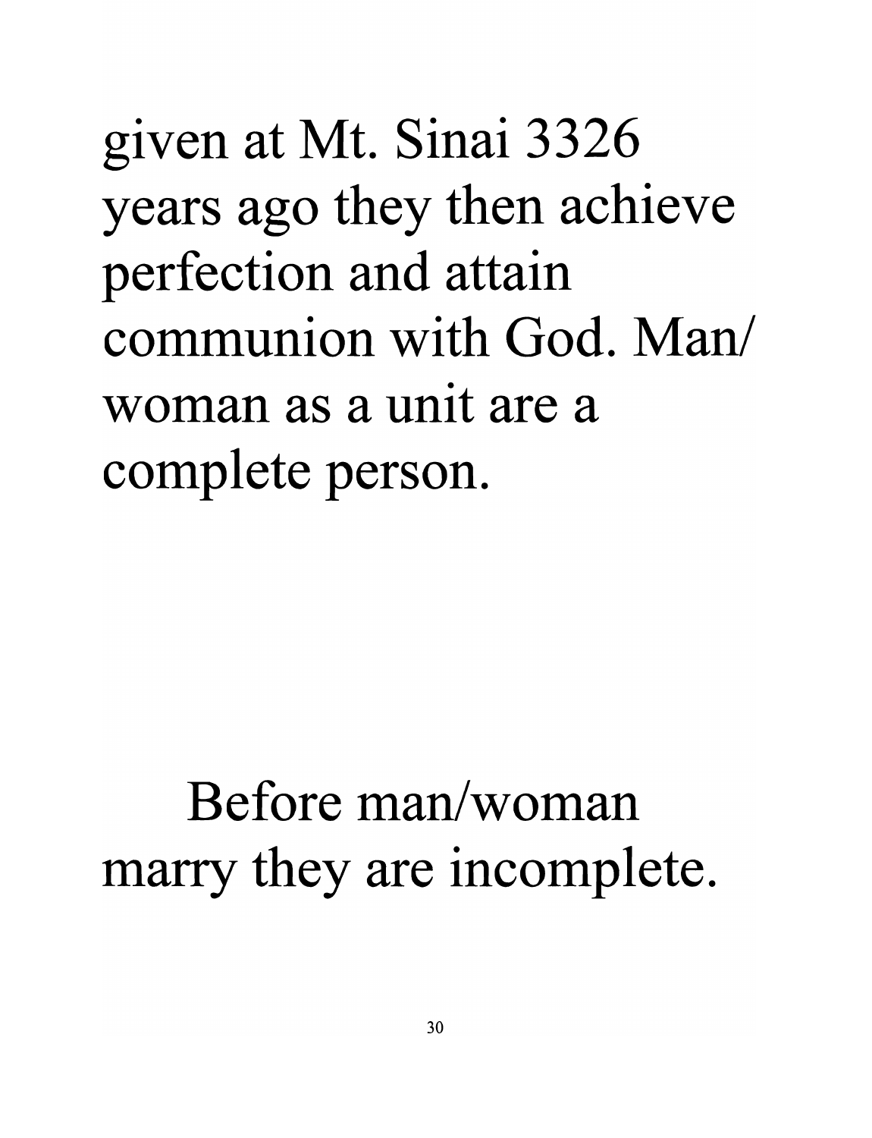given at Mt. Sinai 3326 years ago they then achieve perfection and attain **communion with God. Man/ woman as a unit are a**  complete person.

#### **Before man/woman**  marry they are incomplete.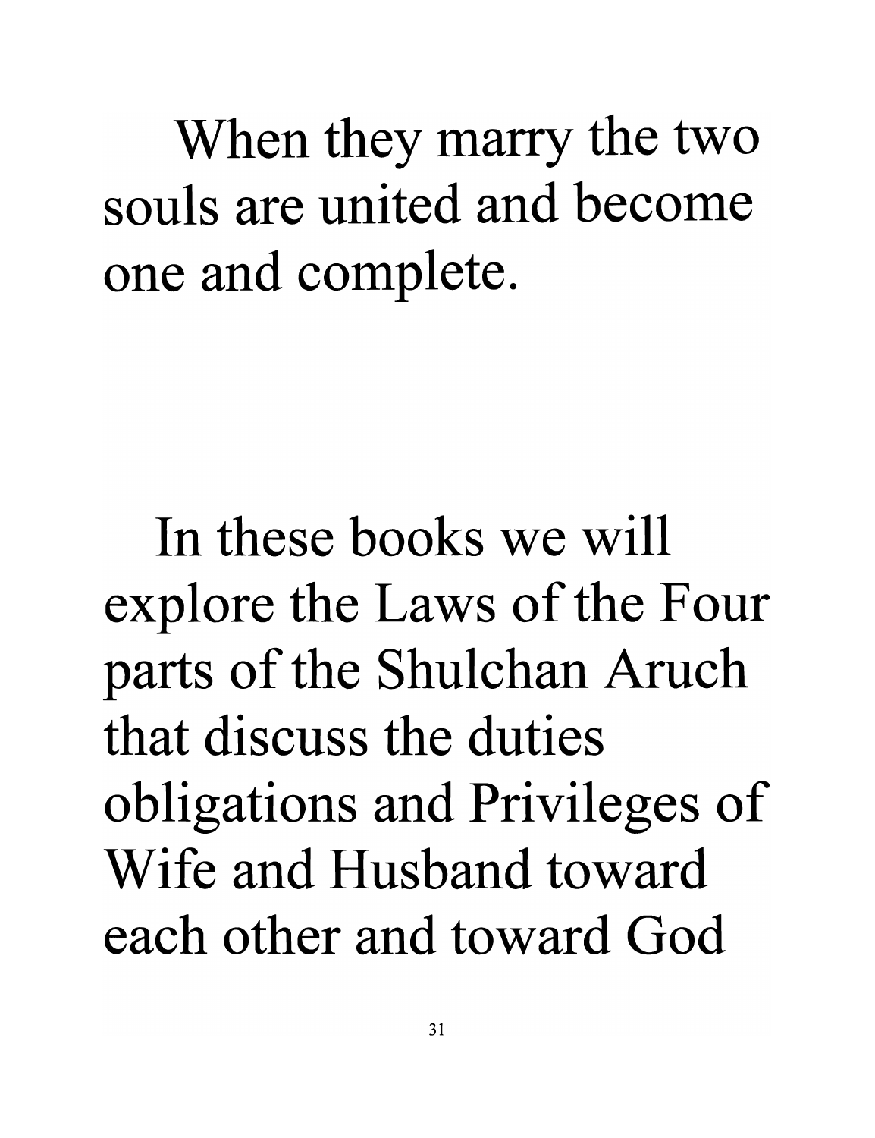When they marry the two souls are united and become one and complete.

In these books we will explore the Laws of the Four parts of the Shulchan Aruch that discuss the duties obligations and Privileges of Wife and Husband toward each other and toward God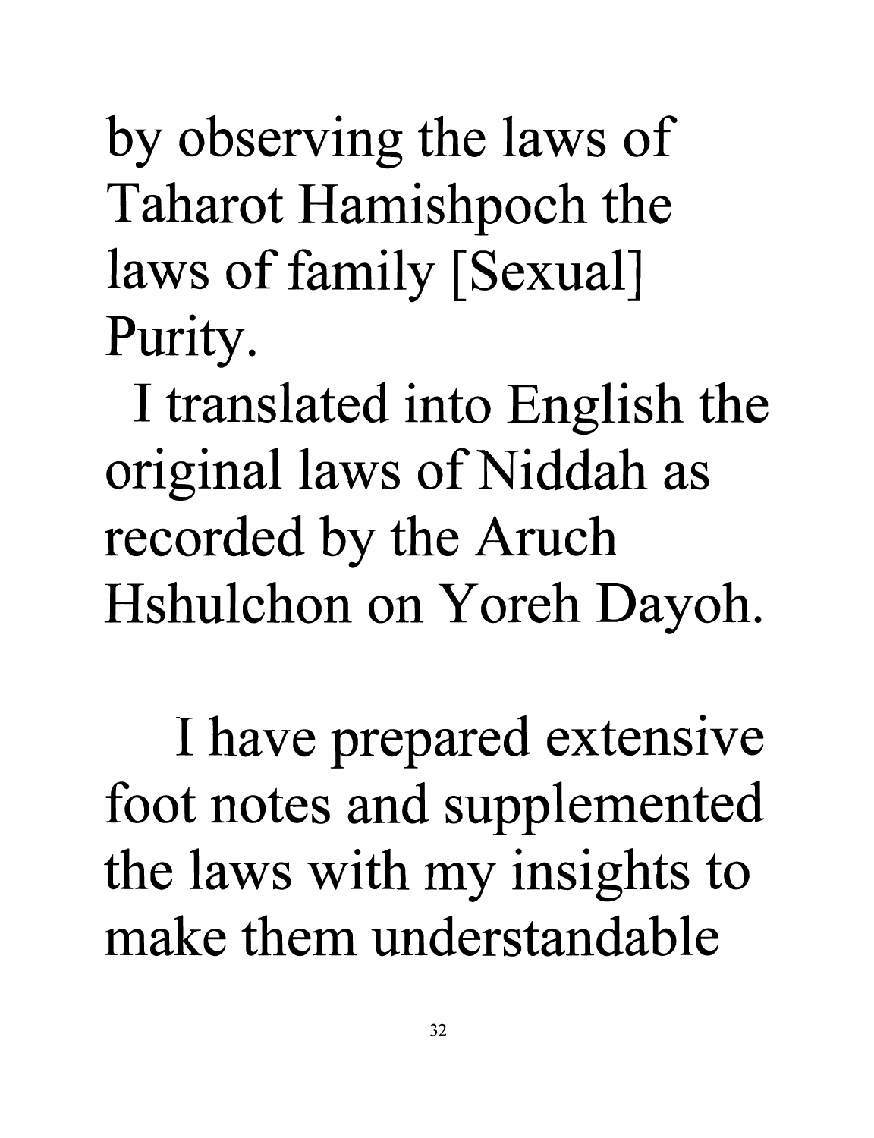by observing the laws of Taharot Hamishpoch the laws of family [Sexual] Purity.

I translated into English the original laws of Niddah as recorded by the Aruch Hshulchon on Yoreh Dayoh.

I have prepared extensive foot notes and supplemented the laws with my insights to **make them understandable**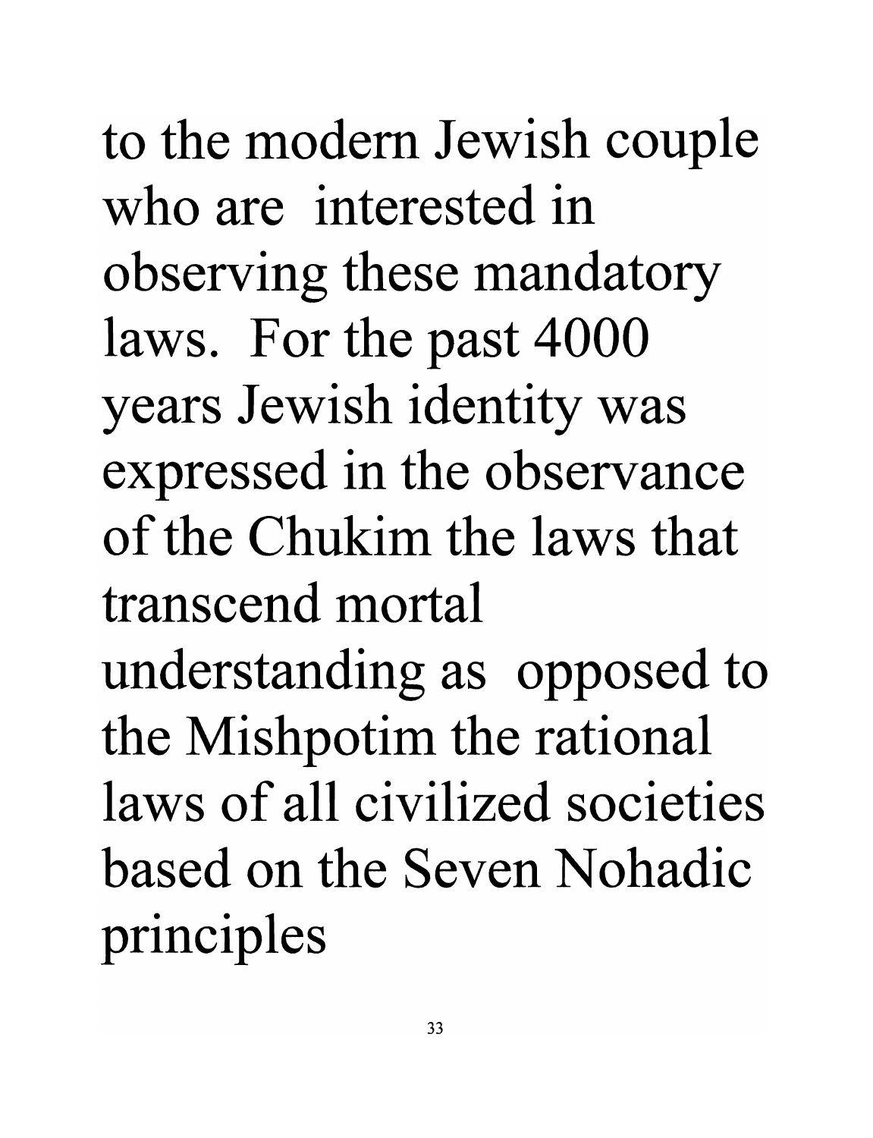to the modem Jewish couple who are interested in observing these mandatory laws. For the past 4000 years Jewish identity was expressed in the observance of the Chukim the laws that transcend mortal understanding as opposed to the Mishpotim the rational laws of all civilized societies based on the Seven Nohadic principles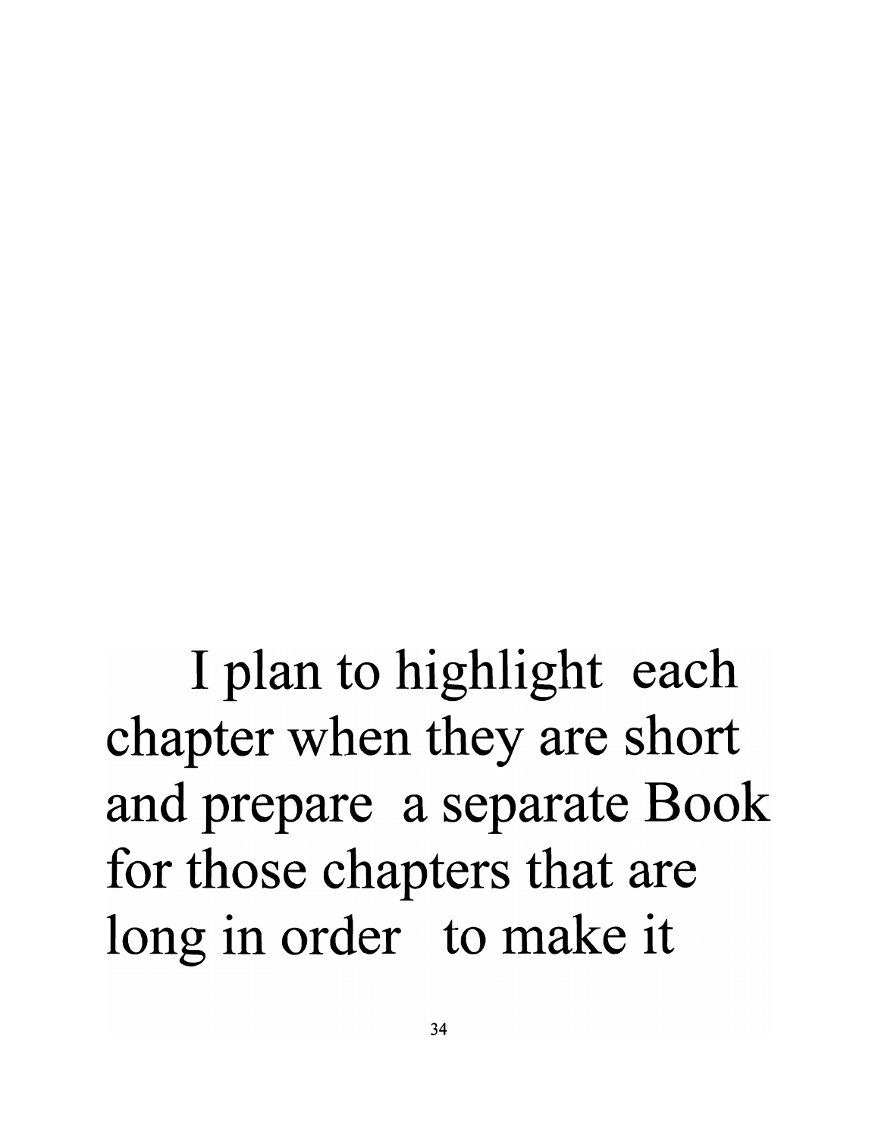I plan to highlight each chapter when they are short and prepare a separate Book for those chapters that are long in order to make it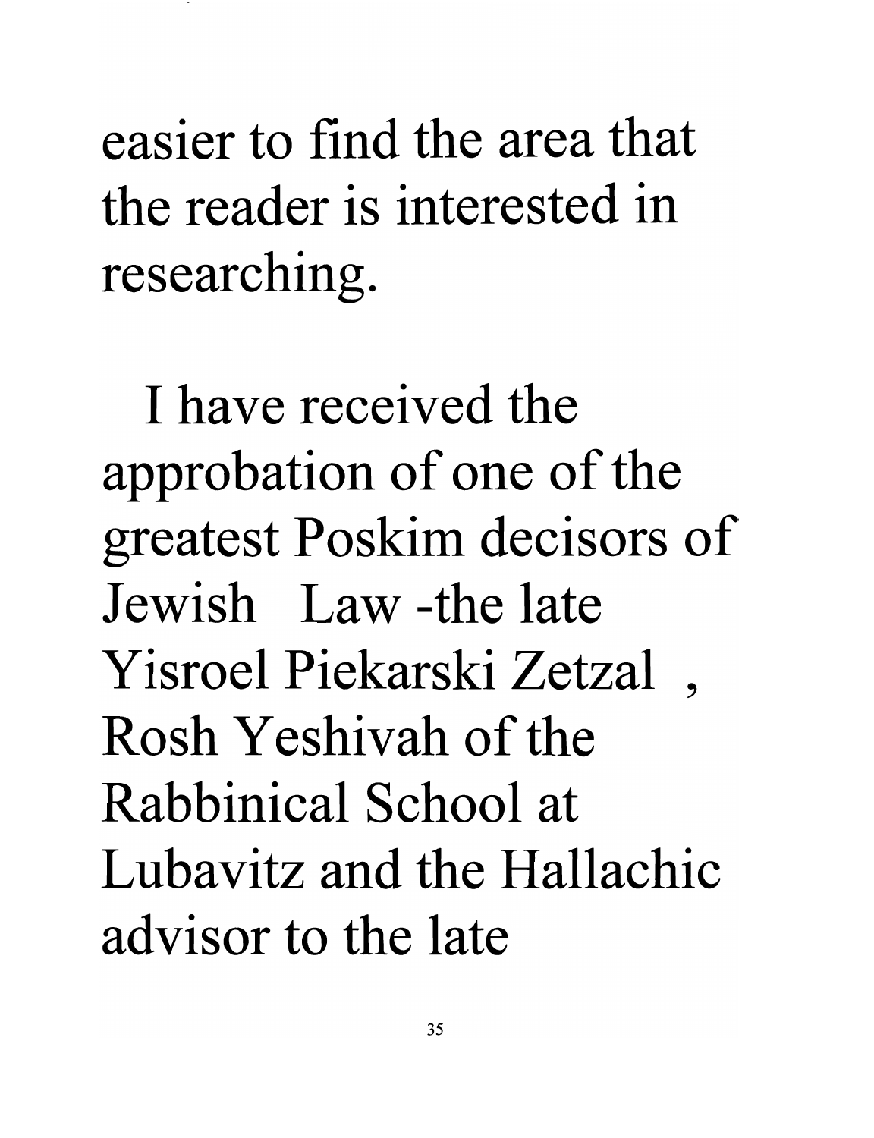easier to find the area that the reader is interested in researching.

I have received the approbation of one of the greatest Poskim decisors of Jewish Law -the late Yisroel Piekarski Zetzal , Rosh Yeshivah of the Rabbinical School at Lubavitz and the Hallachic advisor to the late